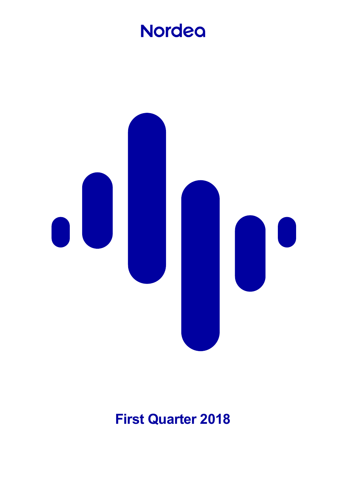# **Nordea**



# **First Quarter 2018**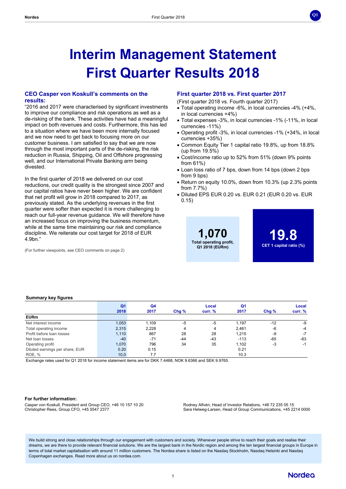# **Interim Management Statement First Quarter Results 2018**

## **CEO Casper von Koskull's comments on the results:**

"2016 and 2017 were characterised by significant investments to improve our compliance and risk operations as well as a de-risking of the bank. These activities have had a meaningful impact on both revenues and costs. Furthermore, this has led to a situation where we have been more internally focused and we now need to get back to focusing more on our customer business. I am satisfied to say that we are now through the most important parts of the de-risking, the risk reduction in Russia, Shipping, Oil and Offshore progressing well, and our International Private Banking arm being divested.

In the first quarter of 2018 we delivered on our cost reductions, our credit quality is the strongest since 2007 and our capital ratios have never been higher. We are confident that net profit will grow in 2018 compared to 2017, as previously stated. As the underlying revenues in the first quarter were softer than expected it is more challenging to reach our full-year revenue guidance. We will therefore have an increased focus on improving the business momentum, while at the same time maintaining our risk and compliance discipline. We reiterate our cost target for 2018 of EUR 4.9bn."

(For further viewpoints, see CEO comments on page 2)

#### **First quarter 2018 vs. First quarter 2017**

(First quarter 2018 vs. Fourth quarter 2017)

- Total operating income -6%, in local currencies -4% (+4%, in local currencies +4%)
- Total expenses -3%, in local currencies -1% (-11%, in local currencies -11%)
- Operating profit -3%, in local currencies -1% (+34%, in local currencies +35%)
- Common Equity Tier 1 capital ratio 19.8%, up from 18.8% (up from 19.5%)
- Cost/income ratio up to 52% from 51% (down 9% points from 61%)
- Loan loss ratio of 7 bps, down from 14 bps (down 2 bps from 9 bps)
- Return on equity 10.0%, down from 10.3% (up 2.3% points from 7.7%)
- Diluted EPS EUR 0.20 vs. EUR 0.21 (EUR 0.20 vs. EUR 0.15)



**19.8 CET 1 capital ratio (%)** **Q1**

#### **Summary key figures**

|                                 | Q <sub>1</sub><br>2018 | Q4<br>2017 | Chg%  | Local<br>curr. % | Q1<br>2017 | Chg%  | Local<br>curr. % |
|---------------------------------|------------------------|------------|-------|------------------|------------|-------|------------------|
| <b>EURm</b>                     |                        |            |       |                  |            |       |                  |
| Net interest income             | 1,053                  | 1.109      | $-5$  | $-5$             | 1.197      | $-12$ | -9               |
| Total operating income          | 2,315                  | 2,228      | 4     | 4                | 2.461      | -6    | $-4$             |
| Profit before loan losses       | 1,110                  | 867        | 28    | 28               | 1.215      | -9    | $-7$             |
| Net loan losses                 | $-40$                  | $-71$      | $-44$ | $-43$            | $-113$     | $-65$ | $-63$            |
| Operating profit                | 1,070                  | 796        | 34    | 35               | 1,102      | -3    | -1               |
| Diluted earnings per share, EUR | 0.20                   | 0.15       |       |                  | 0.21       |       |                  |
| ROE, %                          | 10.0                   | 7.7        |       |                  | 10.3       |       |                  |

Exchange rates used for Q1 2018 for income statement items are for DKK 7.4468, NOK 9.6366 and SEK 9.9765.

#### **For further information:**

Casper von Koskull, President and Group CEO, +46 10 157 10 20 Christopher Rees, Group CFO, +45 5547 2377

Rodney Alfvén, Head of Investor Relations, +46 72 235 05 15 Sara Helweg-Larsen, Head of Group Communications, +45 2214 0000

We build strong and close relationships through our engagement with customers and society. Whenever people strive to reach their goals and realise their dreams, we are there to provide relevant financial solutions. We are the largest bank in the Nordic region and among the ten largest financial groups in Europe in terms of total market capitalisation with around 11 million customers. The Nordea share is listed on the Nasdaq Stockholm, Nasdaq Helsinki and Nasdaq Copenhagen exchanges. Read more about us on nordea.com.

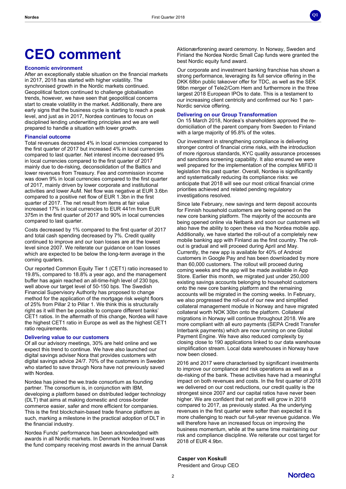# **CEO comment**

#### **Economic environment**

After an exceptionally stable situation on the financial markets in 2017, 2018 has started with higher volatility. The synchronised growth in the Nordic markets continued. Geopolitical factors continued to challenge globalisation trends, however, we have seen that geopolitical concerns start to create volatility in the market. Additionally, there are early signs that the business cycle is starting to reach a peak level, and just as in 2017, Nordea continues to focus on disciplined lending underwriting principles and we are well prepared to handle a situation with lower growth.

#### **Financial outcome**

Total revenues decreased 4% in local currencies compared to the first quarter of 2017 but increased 4% in local currencies compared to last quarter. Net interest income decreased 9% in local currencies compared to the first quarter of 2017 mainly due to de-risking, deconsolidation of the Baltics and lower revenues from Treasury. Fee and commission income was down 9% in local currencies compared to the first quarter of 2017, mainly driven by lower corporate and institutional activities and lower AuM. Net flow was negative at EUR 3.6bn compared to a positive net flow of EUR 1.3bn in the first quarter of 2017. The net result from items at fair value increased 17% in local currencies to EUR 441m from EUR 375m in the first quarter of 2017 and 90% in local currencies compared to last quarter.

Costs decreased by 1% compared to the first quarter of 2017 and total cash spending decreased by 7%. Credit quality continued to improve and our loan losses are at the lowest level since 2007. We reiterate our guidance on loan losses which are expected to be below the long-term average in the coming quarters.

Our reported Common Equity Tier 1 (CET1) ratio increased to 19.8%, compared to 18.8% a year ago, and the management buffer has again reached an all-time-high level of 230 bps, well above our target level of 50-150 bps. The Swedish Financial Supervisory Authority has proposed to change method for the application of the mortgage risk weight floors of 25% from Pillar 2 to Pillar 1. We think this is structurally right as it will then be possible to compare different banks' CET1 ratios. In the aftermath of this change, Nordea will have the highest CET1 ratio in Europe as well as the highest CET1 ratio requirements.

#### **Delivering value to our customers**

Of all our advisory meetings, 30% are held online and we expect this trend to continue. We have also launched our digital savings adviser Nora that provides customers with digital savings advice 24/7. 70% of the customers in Sweden who started to save through Nora have not previously saved with Nordea.

Nordea has joined the we.trade consortium as founding partner. The consortium is, in conjunction with IBM, developing a platform based on distributed ledger technology (DLT) that aims at making domestic and cross-border commerce easier, safer and more efficient for companies. This is the first blockchain-based trade finance platform as such, marking a milestone in the practical adoption of DLT in the financial industry.

Nordea Funds' performance has been acknowledged with awards in all Nordic markets. In Denmark Nordea Invest was the fund company receiving most awards in the annual Dansk Aktionærforening award ceremony. In Norway, Sweden and Finland the Nordea Nordic Small Cap funds were granted the best Nordic equity fund award.

**Q1**

Our corporate and investment banking franchise has shown a strong performance, leveraging its full service offering in the DKK 68bn public takeover offer for TDC, as well as the SEK 98bn merger of Tele2/Com Hem and furthermore in the three largest 2018 European IPOs to date. This is a testament to our increasing client centricity and confirmed our No 1 pan-Nordic service offering.

#### **Delivering on our Group Transformation**

On 15 March 2018, Nordea's shareholders approved the redomiciliation of the parent company from Sweden to Finland with a large majority of 95.8% of the votes.

Our investment in strengthening compliance is delivering stronger control of financial crime risks, with the introduction of more rigorous standards, KYC quality assurance processes and sanctions screening capability. It also ensured we were well prepared for the implementation of the complex MIFID II legislation this past quarter. Overall, Nordea is significantly and systematically reducing its compliance risks: we anticipate that 2018 will see our most critical financial crime priorities achieved and related pending regulatory investigations resolved.

Since late February, new savings and term deposit accounts for Finnish household customers are being opened on the new core banking platform. The majority of the accounts are being opened online via Netbank and soon our customers will also have the ability to open these via the Nordea mobile app. Additionally, we have started the roll-out of a completely new mobile banking app with Finland as the first country. The rollout is gradual and will proceed during April and May. Currently, the new app is available for 40% of Android customers in Google Pay and has been downloaded by more than 60,000 customers. The rollout will proceed during coming weeks and the app will be made available in App Store. Earlier this month, we migrated just under 250,000 existing savings accounts belonging to household customers onto the new core banking platform and the remaining accounts will be migrated in the coming weeks. In February, we also progressed the roll-out of our new and simplified collateral management module in Norway and have migrated collateral worth NOK 30bn onto the platform. Collateral migrations in Norway will continue throughout 2018. We are more compliant with all euro payments (SEPA Credit Transfer Interbank payments) which are now running on one Global Payment Engine. We have also reduced complexity by closing close to 190 applications linked to our data warehouse simplification stream. Local data warehouses in Norway have now been closed.

2016 and 2017 were characterised by significant investments to improve our compliance and risk operations as well as a de-risking of the bank. These activities have had a meaningful impact on both revenues and costs. In the first quarter of 2018 we delivered on our cost reductions, our credit quality is the strongest since 2007 and our capital ratios have never been higher. We are confident that net profit will grow in 2018 compared to 2017, as previously stated. As the underlying revenues in the first quarter were softer than expected it is more challenging to reach our full-year revenue guidance. We will therefore have an increased focus on improving the business momentum, while at the same time maintaining our risk and compliance discipline. We reiterate our cost target for 2018 of EUR 4.9bn.

**Casper von Koskull**

President and Group CEO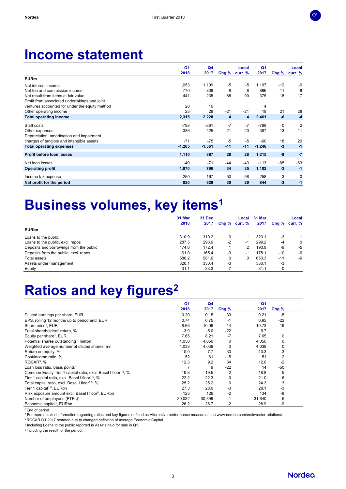

# **Income statement**

|                                                | Q <sub>1</sub><br>2018 | Q4<br>2017 | Chg % | Local<br>curr. % | Q <sub>1</sub><br>2017 | Chg%  | Local<br>curr. % |
|------------------------------------------------|------------------------|------------|-------|------------------|------------------------|-------|------------------|
| <b>EURm</b>                                    |                        |            |       |                  |                        |       |                  |
| Net interest income                            | 1,053                  | 1,109      | $-5$  | $-5$             | 1,197                  | $-12$ | -9               |
| Net fee and commission income                  | 770                    | 839        | -8    | $-8$             | 866                    | $-11$ | $-9$             |
| Net result from items at fair value            | 441                    | 235        | 88    | 90               | 375                    | 18    | 17               |
| Profit from associated undertakings and joint  |                        |            |       |                  |                        |       |                  |
| ventures accounted for under the equity method | 28                     | 16         |       |                  | 4                      |       |                  |
| Other operating income                         | 23                     | 29         | $-21$ | $-21$            | 19                     | 21    | 28               |
| <b>Total operating income</b>                  | 2,315                  | 2,228      | 4     | 4                | 2,461                  | -6    | $-4$             |
| Staff costs                                    | $-798$                 | $-861$     | $-7$  | $-7$             | $-799$                 | 0     | $\overline{2}$   |
| Other expenses                                 | $-336$                 | $-425$     | $-21$ | $-20$            | $-387$                 | $-13$ | $-11$            |
| Depreciation, amortisation and impairment      |                        |            |       |                  |                        |       |                  |
| charges of tangible and intangible assets      | $-71$                  | $-75$      | $-5$  | $-5$             | $-60$                  | 18    | 20               |
| <b>Total operating expenses</b>                | $-1,205$               | $-1,361$   | $-11$ | $-11$            | $-1,246$               | $-3$  | $-1$             |
| Profit before loan losses                      | 1,110                  | 867        | 28    | 28               | 1,215                  | $-9$  | $-7$             |
| Net loan losses                                | -40                    | $-71$      | $-44$ | -43              | $-113$                 | $-65$ | $-63$            |
| <b>Operating profit</b>                        | 1,070                  | 796        | 34    | 35               | 1,102                  | $-3$  | $-1$             |
| Income tax expense                             | $-250$                 | $-167$     | 50    | 58               | $-258$                 | -3    | 0                |
| Net profit for the period                      | 820                    | 629        | 30    | 29               | 844                    | $-3$  | -1               |

# **Business volumes, key items<sup>1</sup>**

|                                         | 31 Mar<br>2018 | 31 Dec<br>2017 | Chg % | curr. % | Local 31 Mar<br>2017 | Chg % | Local<br>curr. % |
|-----------------------------------------|----------------|----------------|-------|---------|----------------------|-------|------------------|
| <b>EURbn</b>                            |                |                |       |         |                      |       |                  |
| Loans to the public                     | 310.9          | 310.2          | 0     |         | 320.1                | -3    |                  |
| Loans to the public, excl. repos        | 287.5          | 293.9          | $-2$  | $-1$    | 299.2                | $-4$  | 0                |
| Deposits and borrowings from the public | 174.0          | 172.4          |       | 2       | 190.9                | -9    | -5               |
| Deposits from the public, excl. repos   | 161.0          | 165.4          | $-3$  | $-1$    | 178.1                | $-10$ | -6               |
| <b>Total assets</b>                     | 580.2          | 581.6          | 0     |         | 650.3                | $-11$ | -9               |
| Assets under management                 | 320.1          | 330.4          | -3    |         | 330.1                | -3    |                  |
| Equity                                  | 31.1           | 33.3           | $-7$  |         | 31.1                 | 0     |                  |

# **Ratios and key figures<sup>2</sup>**

|                                                                            | Q <sub>1</sub> | Q <sub>4</sub> |         | Q <sub>1</sub> |             |
|----------------------------------------------------------------------------|----------------|----------------|---------|----------------|-------------|
|                                                                            | 2018           | 2017           | Chg $%$ | 2017           | Chg%        |
| Diluted earnings per share, EUR                                            | 0.20           | 0.15           | 33      | 0.21           | $-5$        |
| EPS, rolling 12 months up to period end, EUR                               | 0.74           | 0.75           | -1      | 0.95           | $-22$       |
| Share price <sup>1</sup> , EUR                                             | 8.66           | 10.09          | $-14$   | 10.73          | $-19$       |
| Total shareholders' return, %                                              | $-3.9$         | $-5.0$         | $-22$   | 6.7            |             |
| Equity per share <sup>1</sup> , EUR                                        | 7.65           | 8.21           | $-7$    | 7.65           | $\mathbf 0$ |
| Potential shares outstanding <sup>1</sup> , million                        | 4,050          | 4,050          | 0       | 4,050          | 0           |
| Weighted average number of diluted shares, mn                              | 4,038          | 4,039          | 0       | 4,039          | $\mathbf 0$ |
| Return on equity, %                                                        | 10.0           | 7.7            | 30      | 10.3           | $-3$        |
| Cost/income ratio, %                                                       | 52             | 61             | $-15$   | 51             | 2           |
| $ROCAR3$ , %                                                               | 12.3           | 9.2            | 34      | 12.6           | $-2$        |
| Loan loss ratio, basis points <sup>4</sup>                                 |                | 9              | $-22$   | 14             | -50         |
| Common Equity Tier 1 capital ratio, excl. Basel I floor <sup>1,5</sup> , % | 19.8           | 19.5           | 2       | 18.8           | 5           |
| Tier 1 capital ratio, excl. Basel I floor <sup>1,5</sup> , %               | 22.2           | 22.3           | 0       | 21.0           | 6           |
| Total capital ratio, excl. Basel I floor <sup>1,5</sup> , %                | 25.2           | 25.2           | 0       | 24.3           | 3           |
| Tier 1 capital <sup>1,5</sup> , EURbn                                      | 27.3           | 28.0           | $-3$    | 28.1           | $-3$        |
| Risk exposure amount excl. Basel I floor <sup>5</sup> , EURbn              | 123            | 126            | $-2$    | 134            | -8          |
| Number of employees (FTEs) <sup>1</sup>                                    | 30.082         | 30,399         | $-1$    | 31,640         | $-5$        |
| Economic capital <sup>1</sup> , EURbn                                      | 26.2           | 26.7           | -2      | 28.9           | -9          |

<sup>1</sup> End of period.

<sup>2</sup> For more detailed information regarding ratios and key figures defined as Alternative performance measures, see www.nordea.com/en/investor-relations/.

<sup>3</sup> ROCAR Q1 2017 restated due to changed definition of average Economic Capital.

4 Including Loans to the public reported in Assets held for sale in Q1.

5 Including the result for the period.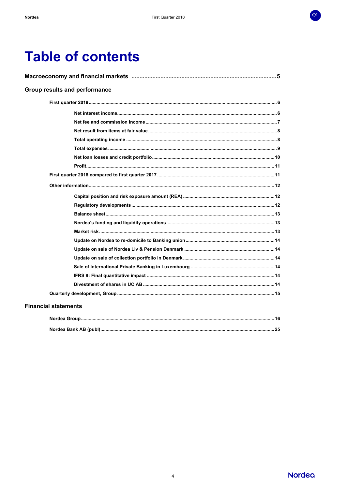

# **Table of contents**

| <b>Group results and performance</b> |
|--------------------------------------|
|                                      |
|                                      |
|                                      |
|                                      |
|                                      |
|                                      |
|                                      |
|                                      |
|                                      |
|                                      |
|                                      |
|                                      |
|                                      |
|                                      |
|                                      |
|                                      |
|                                      |
|                                      |
|                                      |
|                                      |
|                                      |
|                                      |

# **Financial statements**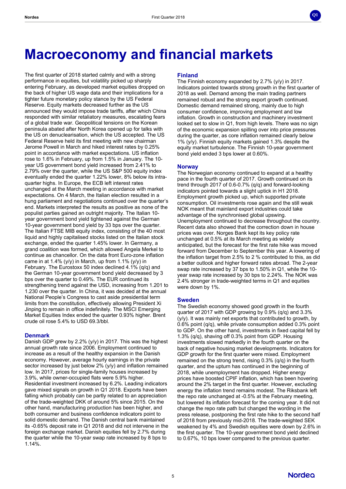

# **Macroeconomy and financial markets**

The first quarter of 2018 started calmly and with a strong performance in equities, but volatility picked up sharply entering February, as developed market equities dropped on the back of higher US wage data and their implications for a tighter future monetary policy stance by the US Federal Reserve. Equity markets decreased further as the US announced they would impose trade tariffs, after which China responded with similar retaliatory measures, escalating fears of a global trade war. Geopolitical tensions on the Korean peninsula abated after North Korea opened up for talks with the US on denuclearisation, which the US accepted. The US Federal Reserve held its first meeting with new chairman Jerome Powell in March and hiked interest rates by 0.25% point in accordance with market expectations. US inflation rose to 1.6% in February, up from 1.5% in January. The 10 year US government bond yield increased from 2.41% to 2.79% over the quarter, while the US S&P 500 equity index eventually ended the quarter 1.22% lower, 8% below its intraquarter highs. In Europe, the ECB left interest rates unchanged at the March meeting in accordance with market expectations. On 4 March, the Italian election resulted in a hung parliament and negotiations continued over the quarter's end. Markets interpreted the results as positive as none of the populist parties gained an outright majority. The Italian 10 year government bond yield tightened against the German 10-year government bond yield by 33 bps over the quarter. The Italian FTSE MIB equity index, consisting of the 40 most liquid and highly capitalised stocks listed on the Italian stock exchange, ended the quarter 1.45% lower. In Germany, a grand coalition was formed, which allowed Angela Merkel to continue as chancellor. On the data front Euro-zone inflation came in at 1.4% (y/y) in March, up from 1.1% (y/y) in February. The Eurostoxx 50 index declined 4.1% (q/q) and the German 10-year government bond yield decreased by 3 bps over the quarter to 0.49%. The EUR continued its strengthening trend against the USD, increasing from 1.201 to 1.230 over the quarter. In China, it was decided at the annual National People's Congress to cast aside presidential term limits from the constitution, effectively allowing President Xi Jinping to remain in office indefinitely. The MSCI Emerging Market Equities Index ended the quarter 0.93% higher. Brent crude oil rose 5.4% to USD 69.3/bbl.

#### **Denmark**

Danish GDP grew by 2.2% (y/y) in 2017. This was the highest annual growth rate since 2006. Employment continued to increase as a result of the healthy expansion in the Danish economy. However, average hourly earnings in the private sector increased by just below 2% (y/y) and inflation remained low. In 2017, prices for single-family houses increased by 3.9%, while owner-occupied flats were 5.9% higher. Residential investment increased by 6.2%. Leading indicators gave mixed signals on growth in Q1 2018. Exports have been falling which probably can be partly related to an appreciation of the trade-weighted DKK of around 5% since 2015. On the other hand, manufacturing production has been higher, and both consumer and business confidence indicators point to solid domestic demand. The Danish central bank maintained its -0.65% deposit rate in Q1 2018 and did not intervene in the foreign exchange market. Danish equities fell by 2.7% during the quarter while the 10-year swap rate increased by 8 bps to 1.14%.

### **Finland**

The Finnish economy expanded by 2.7% (y/y) in 2017. Indicators pointed towards strong growth in the first quarter of 2018 as well. Demand among the main trading partners remained robust and the strong export growth continued. Domestic demand remained strong, mainly due to high consumer confidence, improving employment and low inflation. Growth in construction and machinery investment looked set to slow in Q1, from high levels. There was no sign of the economic expansion spilling over into price pressures during the quarter, as core inflation remained clearly below 1% (y/y). Finnish equity markets gained 1.3% despite the equity market turbulence. The Finnish 10-year government bond yield ended 3 bps lower at 0.60%.

## **Norway**

The Norwegian economy continued to expand at a healthy pace in the fourth quarter of 2017. Growth continued on its trend through 2017 of 0.6-0.7% (q/q) and forward-looking indicators pointed towards a slight uptick in H1 2018. Employment growth picked up, which supported private consumption. Oil investments rose again and the still weak NOK meant that mainland export industries could take advantage of the synchronised global upswing. Unemployment continued to decrease throughout the country. Recent data also showed that the correction down in house prices was over. Norges Bank kept its key policy rate unchanged at 0.5% at its March meeting as widely anticipated, but the forecast for the first rate hike was moved forward from December to September this year. A lowering of the inflation target from 2.5% to 2 % contributed to this, as did a better outlook and higher forward rates abroad. The 2-year swap rate increased by 37 bps to 1.50% in Q1, while the 10 year swap rate increased by 30 bps to 2.24%. The NOK was 2.4% stronger in trade-weighted terms in Q1 and equities were down by 1%.

#### **Sweden**

The Swedish economy showed good growth in the fourth quarter of 2017 with GDP growing by 0.9% (q/q) and 3.3%  $(y/y)$ . It was mainly net exports that contributed to growth, by 0.6% point (q/q), while private consumption added 0.3% point to GDP. On the other hand, investments in fixed capital fell by 1.3% (q/q), shaving off 0.3% point from GDP. Housing investments slowed markedly in the fourth quarter on the back of negative housing market developments. Indicators for GDP growth for the first quarter were mixed. Employment remained on the strong trend, rising 0.3% (q/q) in the fourth quarter, and the upturn has continued in the beginning of 2018, while unemployment has dropped. Higher energy prices have boosted CPIF inflation, which has been hovering around the 2% target in the first quarter. However, excluding energy the inflation trend remains modest. The Riksbank left the repo rate unchanged at -0.5% at the February meeting, but lowered its inflation forecast for the coming year. It did not change the repo rate path but changed the wording in the press release, postponing the first rate hike to the second half of 2018 from previously mid-2018. The trade-weighted SEK weakened by 4% and Swedish equities were down by 2.6% in the first quarter. The 10-year government bond yield declined to 0.67%, 10 bps lower compared to the previous quarter.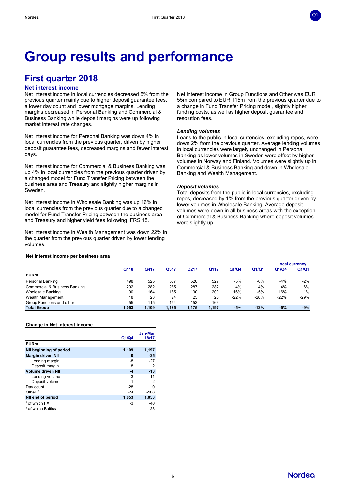

# **Group results and performance**

# **First quarter 2018**

# **Net interest income**

Net interest income in local currencies decreased 5% from the previous quarter mainly due to higher deposit guarantee fees, a lower day count and lower mortgage margins. Lending margins decreased in Personal Banking and Commercial & Business Banking while deposit margins were up following market interest rate changes.

Net interest income for Personal Banking was down 4% in local currencies from the previous quarter, driven by higher deposit guarantee fees, decreased margins and fewer interest days.

Net interest income for Commercial & Business Banking was up 4% in local currencies from the previous quarter driven by a changed model for Fund Transfer Pricing between the business area and Treasury and slightly higher margins in Sweden.

Net interest income in Wholesale Banking was up 16% in local currencies from the previous quarter due to a changed model for Fund Transfer Pricing between the business area and Treasury and higher yield fees following IFRS 15.

Net interest income in Wealth Management was down 22% in the quarter from the previous quarter driven by lower lending volumes.

Net interest income in Group Functions and Other was EUR 55m compared to EUR 115m from the previous quarter due to a change in Fund Transfer Pricing model, slightly higher funding costs, as well as higher deposit guarantee and resolution fees.

#### *Lending volumes*

Loans to the public in local currencies, excluding repos, were down 2% from the previous quarter. Average lending volumes in local currencies were largely unchanged in Personal Banking as lower volumes in Sweden were offset by higher volumes in Norway and Finland. Volumes were slightly up in Commercial & Business Banking and down in Wholesale Banking and Wealth Management.

#### *Deposit volumes*

Total deposits from the public in local currencies, excluding repos, decreased by 1% from the previous quarter driven by lower volumes in Wholesale Banking. Average deposit volumes were down in all business areas with the exception of Commercial & Business Banking where deposit volumes were slightly up.

#### **Net interest income per business area**

|                               |       |       |       |       |       |                          |                          | <b>Local currency</b> |        |
|-------------------------------|-------|-------|-------|-------|-------|--------------------------|--------------------------|-----------------------|--------|
|                               | Q118  | Q417  | Q317  | Q217  | Q117  | Q1/Q4                    | Q1/Q1                    | Q1/Q4                 | Q1/Q1  |
| <b>EURm</b>                   |       |       |       |       |       |                          |                          |                       |        |
| Personal Banking              | 498   | 525   | 537   | 520   | 527   | -5%                      | $-6%$                    | -4%                   | $-2%$  |
| Commercial & Business Banking | 292   | 282   | 285   | 287   | 282   | 4%                       | 4%                       | 4%                    | 6%     |
| Wholesale Banking             | 190   | 164   | 185   | 190   | 200   | 16%                      | $-5%$                    | 16%                   | 1%     |
| Wealth Management             | 18    | 23    | 24    | 25    | 25    | $-22%$                   | $-28%$                   | $-22%$                | $-29%$ |
| Group Functions and other     | 55    | 115   | 154   | 153   | 163   | $\overline{\phantom{a}}$ | $\overline{\phantom{a}}$ |                       | -      |
| <b>Total Group</b>            | 1.053 | 1,109 | 1,185 | 1.175 | 1,197 | $-5%$                    | $-12%$                   | $-5%$                 | $-9%$  |

#### **Change in Net interest income**

|                               |       | Jan-Mar |
|-------------------------------|-------|---------|
|                               | Q1/Q4 | 18/17   |
| <b>EURm</b>                   |       |         |
| NII beginning of period       | 1,109 | 1,197   |
| <b>Margin driven NII</b>      | 0     | $-25$   |
| Lending margin                | -8    | $-27$   |
| Deposit margin                | 8     | 2       |
| <b>Volume driven NII</b>      | -4    | $-13$   |
| Lending volume                | -3    | $-11$   |
| Deposit volume                | $-1$  | $-2$    |
| Day count                     | $-28$ | O       |
| Other $1,2$                   | $-24$ | $-106$  |
| NII end of period             | 1,053 | 1,053   |
| <sup>1</sup> of which FX      | -3    | $-40$   |
| <sup>2</sup> of which Baltics |       | $-28$   |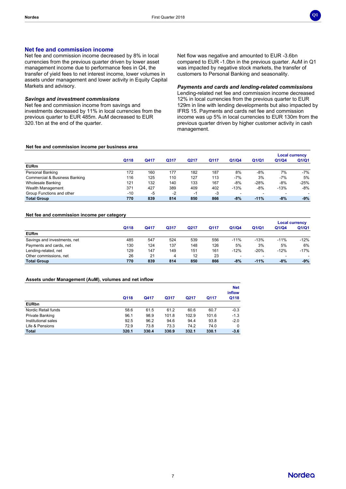

### **Net fee and commission income**

Net fee and commission income decreased by 8% in local currencies from the previous quarter driven by lower asset management income due to performance fees in Q4, the transfer of yield fees to net interest income, lower volumes in assets under management and lower activity in Equity Capital Markets and advisory.

#### *Savings and investment commissions*

Net fee and commission income from savings and investments decreased by 11% in local currencies from the previous quarter to EUR 485m. AuM decreased to EUR 320.1bn at the end of the quarter.

Net flow was negative and amounted to EUR -3.6bn compared to EUR -1.0bn in the previous quarter. AuM in Q1 was impacted by negative stock markets, the transfer of customers to Personal Banking and seasonality.

*Payments and cards and lending-related commissions*

Lending-related net fee and commission income decreased 12% in local currencies from the previous quarter to EUR 129m in line with lending developments but also impacted by IFRS 15. Payments and cards net fee and commission income was up 5% in local currencies to EUR 130m from the previous quarter driven by higher customer activity in cash management.

#### **Net fee and commission income per business area**

|                                          |       |      |      |      |      |        |        | <b>Local currency</b>    |        |
|------------------------------------------|-------|------|------|------|------|--------|--------|--------------------------|--------|
|                                          | Q118  | Q417 | Q317 | Q217 | Q117 | Q1/Q4  | Q1/Q1  | Q1/Q4                    | Q1/Q1  |
| <b>EURm</b>                              |       |      |      |      |      |        |        |                          |        |
| Personal Banking                         | 172   | 160  | 177  | 182  | 187  | 8%     | $-8%$  | 7%                       | $-7%$  |
| <b>Commercial &amp; Business Banking</b> | 116   | 125  | 110  | 127  | 113  | $-7%$  | 3%     | $-7%$                    | 5%     |
| Wholesale Banking                        | 121   | 132  | 140  | 133  | 167  | $-8%$  | $-28%$ | $-8%$                    | $-25%$ |
| Wealth Management                        | 371   | 427  | 389  | 409  | 402  | $-13%$ | $-8%$  | $-13%$                   | -8%    |
| Group Functions and other                | $-10$ | -5   | $-2$ | ÷    | $-3$ |        |        | $\overline{\phantom{a}}$ |        |
| <b>Total Group</b>                       | 770   | 839  | 814  | 850  | 866  | $-8%$  | $-11%$ | $-8%$                    | $-9%$  |

#### **Net fee and commission income per category**

|                              |      |      |      |      |      |                          |        | <b>Local currency</b>    |        |
|------------------------------|------|------|------|------|------|--------------------------|--------|--------------------------|--------|
|                              | Q118 | Q417 | Q317 | Q217 | Q117 | Q1/Q4                    | Q1/Q1  | Q1/Q4                    | Q1/Q1  |
| <b>EURm</b>                  |      |      |      |      |      |                          |        |                          |        |
| Savings and investments, net | 485  | 547  | 524  | 539  | 556  | $-11%$                   | $-13%$ | $-11%$                   | $-12%$ |
| Payments and cards, net      | 130  | 124  | 137  | 148  | 126  | 5%                       | 3%     | 5%                       | 6%     |
| Lending-related, net         | 129  | 147  | 149  | 151  | 161  | $-12%$                   | $-20%$ | $-12%$                   | $-17%$ |
| Other commissions, net       | 26   | 21   | 4    | 12   | 23   | $\overline{\phantom{0}}$ |        | $\overline{\phantom{0}}$ | -      |
| <b>Total Group</b>           | 770  | 839  | 814  | 850  | 866  | $-8%$                    | $-11%$ | $-8%$                    | -9%    |

#### **Assets under Management (AuM), volumes and net inflow**

|                     | Q118  | Q417  | Q317  | Q217  | Q117  | <b>Net</b><br>inflow<br>Q118 |
|---------------------|-------|-------|-------|-------|-------|------------------------------|
| <b>EURbn</b>        |       |       |       |       |       |                              |
| Nordic Retail funds | 58.6  | 61.5  | 61.2  | 60.6  | 60.7  | $-0.3$                       |
| Private Banking     | 96.1  | 98.9  | 101.8 | 102.9 | 101.6 | $-1.3$                       |
| Institutional sales | 92.5  | 96.2  | 94.6  | 94.4  | 93.8  | $-2.0$                       |
| Life & Pensions     | 72.9  | 73.8  | 73.3  | 74.2  | 74.0  | 0                            |
| <b>Total</b>        | 320.1 | 330.4 | 330.9 | 332.1 | 330.1 | $-3.6$                       |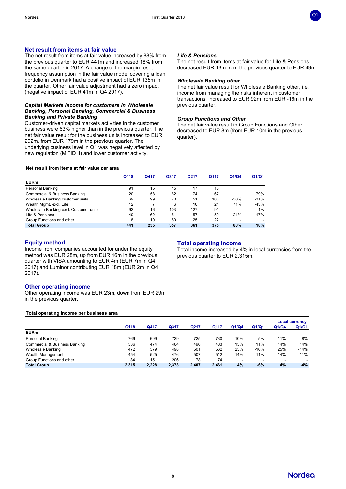

### **Net result from items at fair value**

The net result from items at fair value increased by 88% from the previous quarter to EUR 441m and increased 18% from the same quarter in 2017. A change of the margin reset frequency assumption in the fair value model covering a loan portfolio in Denmark had a positive impact of EUR 135m in the quarter. Other fair value adjustment had a zero impact (negative impact of EUR 41m in Q4 2017).

#### *Capital Markets income for customers in Wholesale Banking, Personal Banking, Commercial & Business Banking and Private Banking*

Customer-driven capital markets activities in the customer business were 63% higher than in the previous quarter. The net fair value result for the business units increased to EUR 292m, from EUR 179m in the previous quarter. The underlying business level in Q1 was negatively affected by new regulation (MiFID II) and lower customer activity.

### *Life & Pensions*

The net result from items at fair value for Life & Pensions decreased EUR 13m from the previous quarter to EUR 49m.

#### *Wholesale Banking other*

The net fair value result for Wholesale Banking other, i.e. income from managing the risks inherent in customer transactions, increased to EUR 92m from EUR -16m in the previous quarter.

#### *Group Functions and Other*

The net fair value result in Group Functions and Other decreased to EUR 8m (from EUR 10m in the previous quarter).

#### **Net result from items at fair value per area**

|                                        | Q118 | Q417  | Q317 | Q217 | Q117 | Q1/Q4  | Q1/Q1  |
|----------------------------------------|------|-------|------|------|------|--------|--------|
| <b>EURm</b>                            |      |       |      |      |      |        |        |
| Personal Banking                       | 91   | 15    | 15   | 17   | 15   |        |        |
| Commercial & Business Banking          | 120  | 58    | 62   | 74   | 67   |        | 79%    |
| Wholesale Banking customer units       | 69   | 99    | 70   | 51   | 100  | $-30%$ | $-31%$ |
| Wealth Mgmt. excl. Life                | 12   | 7     | 6    | 10   | 21   | 71%    | $-43%$ |
| Wholesale Banking excl. Customer units | 92   | $-16$ | 103  | 127  | 91   |        | 1%     |
| Life & Pensions                        | 49   | 62    | 51   | 57   | 59   | $-21%$ | $-17%$ |
| Group Functions and other              | 8    | 10    | 50   | 25   | 22   |        |        |
| <b>Total Group</b>                     | 441  | 235   | 357  | 361  | 375  | 88%    | 18%    |

#### **Equity method**

Income from companies accounted for under the equity method was EUR 28m, up from EUR 16m in the previous quarter with VISA amounting to EUR 4m (EUR 7m in Q4 2017) and Luminor contributing EUR 18m (EUR 2m in Q4 2017).

#### **Total operating income**

Total income increased by 4% in local currencies from the previous quarter to EUR 2,315m.

#### **Other operating income**

Other operating income was EUR 23m, down from EUR 29m in the previous quarter.

#### **Total operating income per business area**

|                                          |       |       |       |       |       |        |        |                          | <b>Local currency</b> |
|------------------------------------------|-------|-------|-------|-------|-------|--------|--------|--------------------------|-----------------------|
|                                          | Q118  | Q417  | Q317  | Q217  | Q117  | Q1/Q4  | Q1/Q1  | Q1/Q4                    | Q1/Q1                 |
| <b>EURm</b>                              |       |       |       |       |       |        |        |                          |                       |
| Personal Banking                         | 769   | 699   | 729   | 725   | 730   | 10%    | 5%     | 11%                      | 8%                    |
| <b>Commercial &amp; Business Banking</b> | 536   | 474   | 464   | 496   | 483   | 13%    | 11%    | 14%                      | 14%                   |
| Wholesale Banking                        | 472   | 379   | 498   | 501   | 562   | 25%    | $-16%$ | 25%                      | $-14%$                |
| Wealth Management                        | 454   | 525   | 476   | 507   | 512   | $-14%$ | $-11%$ | $-14%$                   | $-11%$                |
| Group Functions and other                | 84    | 151   | 206   | 178   | 174   | -      |        | $\overline{\phantom{a}}$ |                       |
| <b>Total Group</b>                       | 2.315 | 2.228 | 2,373 | 2.407 | 2.461 | 4%     | $-6%$  | 4%                       | $-4%$                 |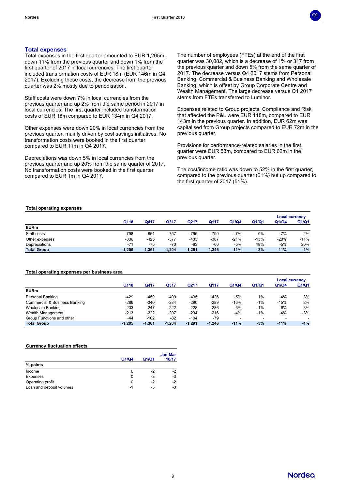

#### **Total expenses**

Total expenses in the first quarter amounted to EUR 1,205m, down 11% from the previous quarter and down 1% from the first quarter of 2017 in local currencies. The first quarter included transformation costs of EUR 18m (EUR 146m in Q4 2017). Excluding these costs, the decrease from the previous quarter was 2% mostly due to periodisation.

Staff costs were down 7% in local currencies from the previous quarter and up 2% from the same period in 2017 in local currencies. The first quarter included transformation costs of EUR 18m compared to EUR 134m in Q4 2017.

Other expenses were down 20% in local currencies from the previous quarter, mainly driven by cost savings initiatives. No transformation costs were booked in the first quarter compared to EUR 11m in Q4 2017.

Depreciations was down 5% in local currencies from the previous quarter and up 20% from the same quarter of 2017. No transformation costs were booked in the first quarter compared to EUR 1m in Q4 2017.

The number of employees (FTEs) at the end of the first quarter was 30,082, which is a decrease of 1% or 317 from the previous quarter and down 5% from the same quarter of 2017. The decrease versus Q4 2017 stems from Personal Banking, Commercial & Business Banking and Wholesale Banking, which is offset by Group Corporate Centre and Wealth Management. The large decrease versus Q1 2017 stems from FTEs transferred to Luminor.

Expenses related to Group projects, Compliance and Risk that affected the P&L were EUR 118m, compared to EUR 143m in the previous quarter. In addition, EUR 62m was capitalised from Group projects compared to EUR 72m in the previous quarter.

Provisions for performance-related salaries in the first quarter were EUR 53m, compared to EUR 62m in the previous quarter.

The cost/income ratio was down to 52% in the first quarter, compared to the previous quarter (61%) but up compared to the first quarter of 2017 (51%).

#### **Total operating expenses**

|                    |          |          |          |          |          |        |        | <b>Local currency</b> |        |
|--------------------|----------|----------|----------|----------|----------|--------|--------|-----------------------|--------|
|                    | Q118     | Q417     | Q317     | Q217     | Q117     | Q1/Q4  | Q1/Q1  | Q1/Q4                 | Q1/Q1  |
| <b>EURm</b>        |          |          |          |          |          |        |        |                       |        |
| Staff costs        | -798     | -861     | $-757$   | $-795$   | $-799$   | -7%    | 0%     | $-7%$                 | $2\%$  |
| Other expenses     | $-336$   | -425     | $-377$   | $-433$   | $-387$   | $-21%$ | $-13%$ | $-20%$                | $-11%$ |
| Depreciations      | $-71$    | $-75$    | $-70$    | $-63$    | $-60$    | -5%    | 18%    | $-5%$                 | 20%    |
| <b>Total Group</b> | $-1,205$ | $-1.361$ | $-1.204$ | $-1,291$ | $-1,246$ | $-11%$ | $-3%$  | $-11%$                | $-1\%$ |

#### **Total operating expenses per business area**

|                               |          |          |          |          |          |        |                          | <b>Local currency</b> |       |
|-------------------------------|----------|----------|----------|----------|----------|--------|--------------------------|-----------------------|-------|
|                               | Q118     | Q417     | Q317     | Q217     | Q117     | Q1/Q4  | Q1/Q1                    | Q1/Q4                 | Q1/Q1 |
| <b>EURm</b>                   |          |          |          |          |          |        |                          |                       |       |
| Personal Banking              | -429     | $-450$   | $-409$   | -435     | $-426$   | $-5%$  | 1%                       | $-4%$                 | 3%    |
| Commercial & Business Banking | $-286$   | $-340$   | $-284$   | $-290$   | $-289$   | $-16%$ | $-1%$                    | $-15%$                | 2%    |
| <b>Wholesale Banking</b>      | $-233$   | $-247$   | $-222$   | $-228$   | $-236$   | $-6%$  | $-1%$                    | $-6%$                 | 3%    |
| Wealth Management             | $-213$   | $-222$   | $-207$   | $-234$   | $-216$   | $-4%$  | $-1%$                    | $-4%$                 | $-3%$ |
| Group Functions and other     | $-44$    | $-102$   | -82      | $-104$   | $-79$    | ۰      | $\overline{\phantom{0}}$ | ۰                     |       |
| <b>Total Group</b>            | $-1.205$ | $-1.361$ | $-1.204$ | $-1.291$ | $-1.246$ | $-11%$ | $-3%$                    | $-11%$                | $-1%$ |

#### **Currency fluctuation effects**

|                          |       |       | Jan-Mar |
|--------------------------|-------|-------|---------|
|                          | Q1/Q4 | Q1/Q1 | 18/17   |
| %-points                 |       |       |         |
| Income                   | 0     | -2    | -2      |
| Expenses                 | 0     | -3    | -3      |
| Operating profit         | 0     | -2    | -2      |
| Loan and deposit volumes | -1    | -3    | -3      |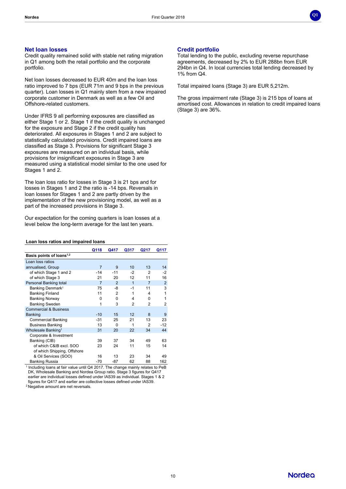

#### **Net loan losses**

Credit quality remained solid with stable net rating migration in Q1 among both the retail portfolio and the corporate portfolio.

Net loan losses decreased to EUR 40m and the loan loss ratio improved to 7 bps (EUR 71m and 9 bps in the previous quarter). Loan losses in Q1 mainly stem from a new impaired corporate customer in Denmark as well as a few Oil and Offshore-related customers.

Under IFRS 9 all performing exposures are classified as either Stage 1 or 2. Stage 1 if the credit quality is unchanged for the exposure and Stage 2 if the credit quality has deteriorated. All exposures in Stages 1 and 2 are subject to statistically calculated provisions. Credit impaired loans are classified as Stage 3. Provisions for significant Stage 3 exposures are measured on an individual basis, while provisions for insignificant exposures in Stage 3 are measured using a statistical model similar to the one used for Stages 1 and 2.

The loan loss ratio for losses in Stage 3 is 21 bps and for losses in Stages 1 and 2 the ratio is -14 bps. Reversals in loan losses for Stages 1 and 2 are partly driven by the implementation of the new provisioning model, as well as a part of the increased provisions in Stage 3.

Our expectation for the coming quarters is loan losses at a level below the long-term average for the last ten years.

#### **Loan loss ratios and impaired loans**

|                                      | Q118           | Q417           | Q317 | Q217           | Q117           |
|--------------------------------------|----------------|----------------|------|----------------|----------------|
| Basis points of loans <sup>1,2</sup> |                |                |      |                |                |
| Loan loss ratios                     |                |                |      |                |                |
| annualised, Group                    | $\overline{7}$ | 9              | 10   | 13             | 14             |
| of which Stage 1 and 2               | $-14$          | $-11$          | $-2$ | $\mathfrak{p}$ | $-2$           |
| of which Stage 3                     | 21             | 20             | 12   | 11             | 16             |
| Personal Banking total               | $\overline{7}$ | $\mathfrak{p}$ | 1    | $\overline{7}$ | $\overline{2}$ |
| Banking Denmark <sup>1</sup>         | 75             | -8             | $-1$ | 11             | 3              |
| <b>Banking Finland</b>               | 11             | 2              | 1    | 4              | 1              |
| <b>Banking Norway</b>                | O              | $\Omega$       | 4    | O              | 1              |
| <b>Banking Sweden</b>                | 1              | 3              | 2    | $\overline{2}$ | 2              |
| <b>Commercial &amp; Business</b>     |                |                |      |                |                |
| <b>Banking</b>                       | $-10$          | 15             | 12   | 8              | 9              |
| <b>Commercial Banking</b>            | $-31$          | 25             | 21   | 13             | 23             |
| <b>Business Banking</b>              | 13             | $\Omega$       | 1    | 2              | $-12$          |
| Wholesale Banking <sup>1</sup>       | 31             | 20             | 22   | 34             | 44             |
| Corporate & Investment               |                |                |      |                |                |
| Banking (CIB)                        | 39             | 37             | 34   | 49             | 63             |
| of which C&IB excl. SOO              | 23             | 24             | 11   | 15             | 14             |
| of which Shipping, Offshore          |                |                |      |                |                |
| & Oil Services (SOO)                 | 16             | 13             | 23   | 34             | 49             |
| <b>Banking Russia</b>                | -70            | $-87$          | 62   | 88             | 162            |

Banking Russia -70 -87 62 88 162 1 Including loans at fair value until Q4 2017. The change mainly relates to PeB DK, Wholesale Banking and Nordea Group ratio. Stage 3 figures for Q417 earlier are individual losses defined under IAS39 as individual. Stages 1 & 2 figures for Q417 and earlier are collective losses defined under IAS39.

<sup>2</sup> Negative amount are net reversals.

### **Credit portfolio**

Total lending to the public, excluding reverse repurchase agreements, decreased by 2% to EUR 288bn from EUR 294bn in Q4. In local currencies total lending decreased by 1% from Q4.

Total impaired loans (Stage 3) are EUR 5,212m.

The gross impairment rate (Stage 3) is 215 bps of loans at amortised cost. Allowances in relation to credit impaired loans (Stage 3) are 36%.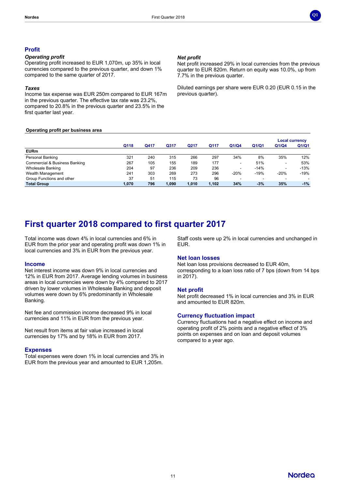

#### **Profit**

#### *Operating profit*

Operating profit increased to EUR 1,070m, up 35% in local currencies compared to the previous quarter, and down 1% compared to the same quarter of 2017.

#### *Taxes*

Income tax expense was EUR 250m compared to EUR 167m in the previous quarter. The effective tax rate was 23.2%, compared to 20.8% in the previous quarter and 23.5% in the first quarter last year.

#### **Operating profit per business area**

#### *Net profit*

Net profit increased 29% in local currencies from the previous quarter to EUR 820m. Return on equity was 10.0%, up from 7.7% in the previous quarter.

Diluted earnings per share were EUR 0.20 (EUR 0.15 in the previous quarter).

|                                          |       |      |       |       |       |        |                          |                          | <b>Local currency</b>    |
|------------------------------------------|-------|------|-------|-------|-------|--------|--------------------------|--------------------------|--------------------------|
|                                          | Q118  | Q417 | Q317  | Q217  | Q117  | Q1/Q4  | Q1/Q1                    | Q1/Q4                    | Q1/Q1                    |
| <b>EURm</b>                              |       |      |       |       |       |        |                          |                          |                          |
| Personal Banking                         | 321   | 240  | 315   | 266   | 297   | 34%    | 8%                       | 35%                      | 12%                      |
| <b>Commercial &amp; Business Banking</b> | 267   | 105  | 155   | 189   | 177   | ۰      | 51%                      | $\overline{\phantom{a}}$ | 53%                      |
| <b>Wholesale Banking</b>                 | 204   | 97   | 236   | 209   | 236   | ۰      | $-14%$                   | $\overline{\phantom{a}}$ | $-13%$                   |
| Wealth Management                        | 241   | 303  | 269   | 273   | 296   | $-20%$ | $-19%$                   | $-20%$                   | $-19%$                   |
| Group Functions and other                | 37    | 51   | 115   | 73    | 96    |        | $\overline{\phantom{a}}$ | $\overline{\phantom{0}}$ | $\overline{\phantom{0}}$ |
| <b>Total Group</b>                       | 1,070 | 796  | 1,090 | 1.010 | 1,102 | 34%    | $-3%$                    | 35%                      | $-1%$                    |

# **First quarter 2018 compared to first quarter 2017**

Total income was down 4% in local currencies and 6% in EUR from the prior year and operating profit was down 1% in local currencies and 3% in EUR from the previous year.

### **Income**

Net interest income was down 9% in local currencies and 12% in EUR from 2017. Average lending volumes in business areas in local currencies were down by 4% compared to 2017 driven by lower volumes in Wholesale Banking and deposit volumes were down by 6% predominantly in Wholesale Banking.

Net fee and commission income decreased 9% in local currencies and 11% in EUR from the previous year.

Net result from items at fair value increased in local currencies by 17% and by 18% in EUR from 2017.

#### **Expenses**

Total expenses were down 1% in local currencies and 3% in EUR from the previous year and amounted to EUR 1,205m.

Staff costs were up 2% in local currencies and unchanged in EUR.

### **Net loan losses**

Net loan loss provisions decreased to EUR 40m, corresponding to a loan loss ratio of 7 bps (down from 14 bps in 2017).

#### **Net profit**

Net profit decreased 1% in local currencies and 3% in EUR and amounted to EUR 820m.

#### **Currency fluctuation impact**

Currency fluctuations had a negative effect on income and operating profit of 2% points and a negative effect of 3% points on expenses and on loan and deposit volumes compared to a year ago.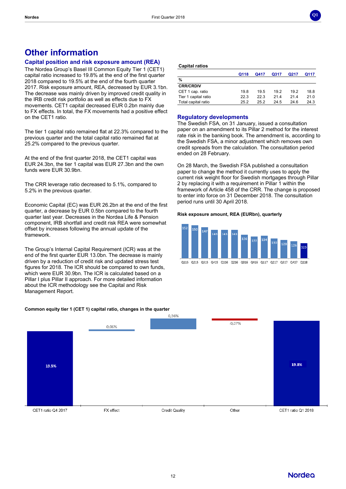

# **Other information**

# **Capital position and risk exposure amount (REA)**

The Nordea Group's Basel III Common Equity Tier 1 (CET1) capital ratio increased to 19.8% at the end of the first quarter 2018 compared to 19.5% at the end of the fourth quarter 2017. Risk exposure amount, REA, decreased by EUR 3.1bn. The decrease was mainly driven by improved credit quality in the IRB credit risk portfolio as well as effects due to FX movements. CET1 capital decreased EUR 0.2bn mainly due to FX effects. In total, the FX movements had a positive effect on the CET1 ratio.

The tier 1 capital ratio remained flat at 22.3% compared to the previous quarter and the total capital ratio remained flat at 25.2% compared to the previous quarter.

At the end of the first quarter 2018, the CET1 capital was EUR 24.3bn, the tier 1 capital was EUR 27.3bn and the own funds were EUR 30.9bn.

The CRR leverage ratio decreased to 5.1%, compared to 5.2% in the previous quarter.

Economic Capital (EC) was EUR 26.2bn at the end of the first quarter, a decrease by EUR 0.5bn compared to the fourth quarter last year. Decreases in the Nordea Life & Pension component, IRB shortfall and credit risk REA were somewhat offset by increases following the annual update of the framework.

The Group's Internal Capital Requirement (ICR) was at the end of the first quarter EUR 13.0bn. The decrease is mainly driven by a reduction of credit risk and updated stress test figures for 2018. The ICR should be compared to own funds, which were EUR 30.9bn. The ICR is calculated based on a Pillar I plus Pillar II approach. For more detailed information about the ICR methodology see the Capital and Risk Management Report.

#### **Common equity tier 1 (CET 1) capital ratio, changes in the quarter**



#### **Capital ratios**

|                      | Q118 | Q417 | Q317 | Q217 | Q117 |
|----------------------|------|------|------|------|------|
| $\frac{9}{6}$        |      |      |      |      |      |
| <b>CRR/CRDIV</b>     |      |      |      |      |      |
| CET 1 cap. ratio     | 19.8 | 19.5 | 19.2 | 19.2 | 18.8 |
| Tier 1 capital ratio | 22.3 | 22.3 | 214  | 214  | 21.0 |
| Total capital ratio  | 25.2 | 25.2 | 24.5 | 24 R | 24.3 |

#### **Regulatory developments**

The Swedish FSA, on 31 January, issued a consultation paper on an amendment to its Pillar 2 method for the interest rate risk in the banking book. The amendment is, according to the Swedish FSA, a minor adjustment which removes own credit spreads from the calculation. The consultation period ended on 28 February.

On 28 March, the Swedish FSA published a consultation paper to change the method it currently uses to apply the current risk weight floor for Swedish mortgages through Pillar 2 by replacing it with a requirement in Pillar 1 within the framework of Article 458 of the CRR. The change is proposed to enter into force on 31 December 2018. The consultation period runs until 30 April 2018.

#### **Risk exposure amount, REA (EURbn), quarterly**



Q115 Q215 Q315 Q415 Q116 Q216 Q316 Q416 Q117 Q217 Q317 Q417 Q118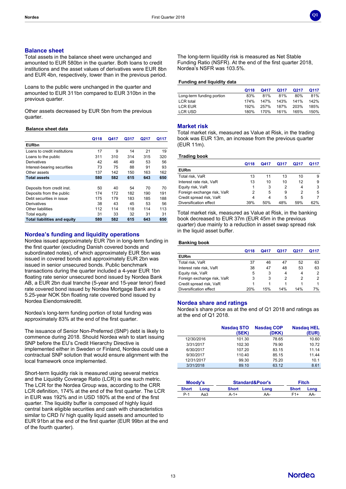

#### **Balance sheet**

Total assets in the balance sheet were unchanged and amounted to EUR 580bn in the quarter. Both loans to credit institutions and the asset values of derivatives were EUR 8bn and EUR 4bn, respectively, lower than in the previous period.

Loans to the public were unchanged in the quarter and amounted to EUR 311bn compared to EUR 310bn in the previous quarter.

Other assets decreased by EUR 5bn from the previous quarter.

#### **Balance sheet data**

|                                     | Q118 | Q417 | Q317 | Q217 | Q117 |
|-------------------------------------|------|------|------|------|------|
| <b>EURbn</b>                        |      |      |      |      |      |
| Loans to credit institutions        | 17   | 9    | 14   | 21   | 19   |
| Loans to the public                 | 311  | 310  | 314  | 315  | 320  |
| Derivatives                         | 42   | 46   | 49   | 53   | 56   |
| Interest-bearing securities         | 73   | 75   | 88   | 91   | 93   |
| Other assets                        | 137  | 142  | 150  | 163  | 162  |
| <b>Total assets</b>                 | 580  | 582  | 615  | 643  | 650  |
|                                     |      |      |      |      |      |
| Deposits from credit inst.          | 50   | 40   | 54   | 70   | 70   |
| Deposits from the public            | 174  | 172  | 182  | 190  | 191  |
| Debt securities in issue            | 175  | 179  | 183  | 185  | 188  |
| Derivatives                         | 38   | 43   | 45   | 53   | 56   |
| Other liabilities                   | 112  | 114  | 118  | 114  | 113  |
| Total equity                        | 31   | 33   | 32   | 31   | 31   |
| <b>Total liabilities and equity</b> | 580  | 582  | 615  | 643  | 650  |

#### **Nordea's funding and liquidity operations**

Nordea issued approximately EUR 7bn in long-term funding in the first quarter (excluding Danish covered bonds and subordinated notes), of which approximately EUR 5bn was issued in covered bonds and approximately EUR 2bn was issued in senior unsecured bonds. Public benchmark transactions during the quarter included a 4-year EUR 1bn floating rate senior unsecured bond issued by Nordea Bank AB, a EUR 2bn dual tranche (5-year and 15-year tenor) fixed rate covered bond issued by Nordea Mortgage Bank and a 5.25-year NOK 5bn floating rate covered bond issued by Nordea Eiendomskreditt.

Nordea's long-term funding portion of total funding was approximately 83% at the end of the first quarter.

The issuance of Senior Non-Preferred (SNP) debt is likely to commence during 2018. Should Nordea wish to start issuing SNP before the EU's Credit Hierarchy Directive is implemented either in Sweden or Finland, Nordea could use a contractual SNP solution that would ensure alignment with the local framework once implemented.

Short-term liquidity risk is measured using several metrics and the Liquidity Coverage Ratio (LCR) is one such metric. The LCR for the Nordea Group was, according to the CRR LCR definition, 174% at the end of the first quarter. The LCR in EUR was 192% and in USD 180% at the end of the first quarter. The liquidity buffer is composed of highly liquid central bank eligible securities and cash with characteristics similar to CRD IV high quality liquid assets and amounted to EUR 91bn at the end of the first quarter (EUR 99bn at the end of the fourth quarter).

The long-term liquidity risk is measured as Net Stable Funding Ratio (NSFR). At the end of the first quarter 2018, Nordea's NSFR was 103.5%.

# **Funding and liquidity data**

|                           | Q118 | Q417 | Q317 | Q <sub>217</sub> | Q117 |
|---------------------------|------|------|------|------------------|------|
| Long-term funding portion | 83%  | 81%  | 81%  | 80%              | 81%  |
| <b>LCR</b> total          | 174% | 147% | 143% | 141%             | 142% |
| LCR EUR                   | 192% | 257% | 187% | 203%             | 185% |
| LCR USD                   | 180% | 170% | 161% | 165%             | 150% |

#### **Market risk**

Total market risk, measured as Value at Risk, in the trading book was EUR 13m, an increase from the previous quarter (EUR 11m).

#### **Trading book**

|                            | Q118 | O417 | Q317 | Q217 | O117 |
|----------------------------|------|------|------|------|------|
| <b>EURm</b>                |      |      |      |      |      |
| Total risk, VaR            | 13   | 11   | 13   | 10   | 9    |
| Interest rate risk, VaR    | 13   | 10   | 10   | 12   | 9    |
| Equity risk, VaR           |      | 3    | 2    | 4    | 3    |
| Foreign exchange risk, VaR | 2    | 5    | 9    | 2    | 5    |
| Credit spread risk, VaR    |      | 4    | 5    | 5    |      |
| Diversification effect     | 39%  | 50%  | 48%  | 59%  | 62%  |

Total market risk, measured as Value at Risk, in the banking book decreased to EUR 37m (EUR 45m in the previous quarter) due mainly to a reduction in asset swap spread risk in the liquid asset buffer.

#### **Banking book**

|                            | Q118 | O417 | O317 | O217 | Q117 |
|----------------------------|------|------|------|------|------|
| <b>EURm</b>                |      |      |      |      |      |
| Total risk, VaR            | 37   | 46   | 47   | 52   | 63   |
| Interest rate risk, VaR    | 38   | 47   | 48   | 53   | 63   |
| Equity risk, VaR           | 5    | 3    | 4    | 4    | 2    |
| Foreign exchange risk, VaR | 3    | 3    | 2    | 2    | 2    |
| Credit spread risk, VaR    |      |      |      |      |      |
| Diversification effect     | 20%  | 15%  | 14%  | 14%  | 7%   |

#### **Nordea share and ratings**

Nordea's share price as at the end of Q1 2018 and ratings as at the end of Q1 2018.

|            | <b>Nasdag STO</b><br>(SEK) | <b>Nasdag COP</b><br>(DKK) | <b>Nasdag HEL</b><br>(EUR) |
|------------|----------------------------|----------------------------|----------------------------|
| 12/30/2016 | 101.30                     | 78.65                      | 10.60                      |
| 3/31/2017  | 102.30                     | 79.90                      | 10.72                      |
| 6/30/2017  | 107.20                     | 83.15                      | 11.14                      |
| 9/30/2017  | 110.40                     | 85.15                      | 11.44                      |
| 12/31/2017 | 99.30                      | 75.20                      | 10.1                       |
| 3/31/2018  | 89.10                      | 63.12                      | 8.61                       |
|            |                            |                            |                            |

|              | Moody's |              | <b>Standard&amp;Poor's</b> | <b>Fitch</b> |      |
|--------------|---------|--------------|----------------------------|--------------|------|
| <b>Short</b> | Lona    | <b>Short</b> | Long                       | <b>Short</b> | Long |
| $P-1$        | Аа3     | A-1+         | AA-                        | F1+          | AA-  |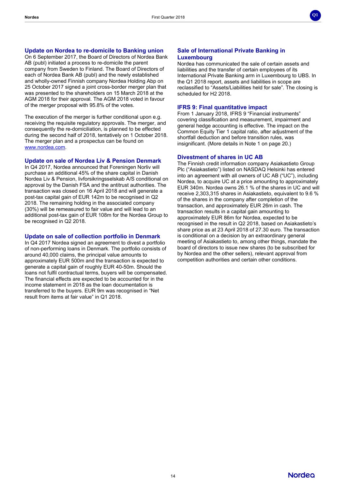

### **Update on Nordea to re-domicile to Banking union**

On 6 September 2017, the Board of Directors of Nordea Bank AB (publ) initiated a process to re-domicile the parent company from Sweden to Finland. The Board of Directors of each of Nordea Bank AB (publ) and the newly established and wholly-owned Finnish company Nordea Holding Abp on 25 October 2017 signed a joint cross-border merger plan that was presented to the shareholders on 15 March 2018 at the AGM 2018 for their approval. The AGM 2018 voted in favour of the merger proposal with 95.8% of the votes.

The execution of the merger is further conditional upon e.g. receiving the requisite regulatory approvals. The merger, and consequently the re-domiciliation, is planned to be effected during the second half of 2018, tentatively on 1 October 2018. The merger plan and a prospectus can be found on [www.nordea.com](http://www.nordea.com/).

#### **Update on sale of Nordea Liv & Pension Denmark**

In Q4 2017, Nordea announced that Foreningen Norliv will purchase an additional 45% of the share capital in Danish Nordea Liv & Pension, livforsikringsselskab A/S conditional on approval by the Danish FSA and the antitrust authorities. The transaction was closed on 16 April 2018 and will generate a post-tax capital gain of EUR 142m to be recognised in Q2 2018. The remaining holding in the associated company (30%) will be remeasured to fair value and will lead to an additional post-tax gain of EUR 108m for the Nordea Group to be recognised in Q2 2018.

#### **Update on sale of collection portfolio in Denmark**

In Q4 2017 Nordea signed an agreement to divest a portfolio of non-performing loans in Denmark. The portfolio consists of around 40,000 claims, the principal value amounts to approximately EUR 500m and the transaction is expected to generate a capital gain of roughly EUR 40-50m. Should the loans not fulfil contractual terms, buyers will be compensated. The financial effects are expected to be accounted for in the income statement in 2018 as the loan documentation is transferred to the buyers. EUR 9m was recognised in "Net result from items at fair value" in Q1 2018.

#### **Sale of International Private Banking in Luxembourg**

Nordea has communicated the sale of certain assets and liabilities and the transfer of certain employees of its International Private Banking arm in Luxembourg to UBS. In the Q1 2018 report, assets and liabilities in scope are reclassified to "Assets/Liabilities held for sale". The closing is scheduled for H2 2018.

### **IFRS 9: Final quantitative impact**

From 1 January 2018, IFRS 9 "Financial instruments" covering classification and measurement, impairment and general hedge accounting is effective. The impact on the Common Equity Tier 1 capital ratio, after adjustment of the shortfall deduction and before transition rules, was insignificant. (More details in Note 1 on page 20.)

#### **Divestment of shares in UC AB**

The Finnish credit information company Asiakastieto Group Plc ("Asiakastieto") listed on NASDAQ Helsinki has entered into an agreement with all owners of UC AB ("UC"), including Nordea, to acquire UC at a price amounting to approximately EUR 340m. Nordea owns 26.1 % of the shares in UC and will receive 2,303,315 shares in Asiakastieto, equivalent to 9.6 % of the shares in the company after completion of the transaction, and approximately EUR 26m in cash. The transaction results in a capital gain amounting to approximately EUR 86m for Nordea, expected to be recognised in the result in Q2 2018, based on Asiakastieto's share price as at 23 April 2018 of 27.30 euro. The transaction is conditional on a decision by an extraordinary general meeting of Asiakastieto to, among other things, mandate the board of directors to issue new shares (to be subscribed for by Nordea and the other sellers), relevant approval from competition authorities and certain other conditions.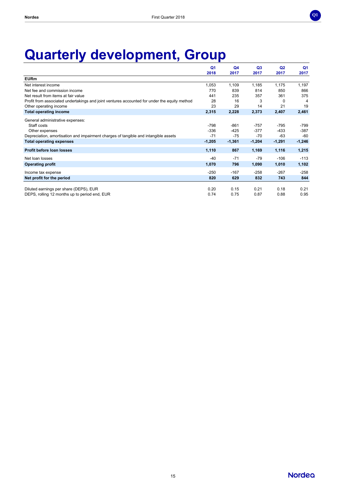

# **Quarterly development, Group**

|                                                                                              | Q <sub>1</sub> | Q <sub>4</sub> | Q <sub>3</sub> | Q <sub>2</sub> | Q <sub>1</sub> |
|----------------------------------------------------------------------------------------------|----------------|----------------|----------------|----------------|----------------|
|                                                                                              | 2018           | 2017           | 2017           | 2017           | 2017           |
| <b>EURm</b>                                                                                  |                |                |                |                |                |
| Net interest income                                                                          | 1,053          | 1,109          | 1,185          | 1,175          | 1,197          |
| Net fee and commission income                                                                | 770            | 839            | 814            | 850            | 866            |
| Net result from items at fair value                                                          | 441            | 235            | 357            | 361            | 375            |
| Profit from associated undertakings and joint ventures accounted for under the equity method | 28             | 16             | 3              | <sup>0</sup>   | 4              |
| Other operating income                                                                       | 23             | 29             | 14             | 21             | 19             |
| <b>Total operating income</b>                                                                | 2,315          | 2,228          | 2,373          | 2,407          | 2,461          |
| General administrative expenses:                                                             |                |                |                |                |                |
| Staff costs                                                                                  | -798           | $-861$         | $-757$         | $-795$         | $-799$         |
| Other expenses                                                                               | $-336$         | $-425$         | $-377$         | $-433$         | $-387$         |
| Depreciation, amortisation and impairment charges of tangible and intangible assets          | $-71$          | $-75$          | $-70$          | $-63$          | $-60$          |
| <b>Total operating expenses</b>                                                              | $-1,205$       | $-1,361$       | $-1,204$       | $-1,291$       | $-1,246$       |
| Profit before loan losses                                                                    | 1,110          | 867            | 1,169          | 1,116          | 1,215          |
| Net loan losses                                                                              | -40            | $-71$          | $-79$          | $-106$         | $-113$         |
| <b>Operating profit</b>                                                                      | 1,070          | 796            | 1,090          | 1,010          | 1,102          |
| Income tax expense                                                                           | $-250$         | $-167$         | $-258$         | $-267$         | $-258$         |
| Net profit for the period                                                                    | 820            | 629            | 832            | 743            | 844            |
|                                                                                              |                |                |                |                |                |
| Diluted earnings per share (DEPS), EUR                                                       | 0.20           | 0.15           | 0.21           | 0.18           | 0.21           |
| DEPS, rolling 12 months up to period end, EUR                                                | 0.74           | 0.75           | 0.87           | 0.88           | 0.95           |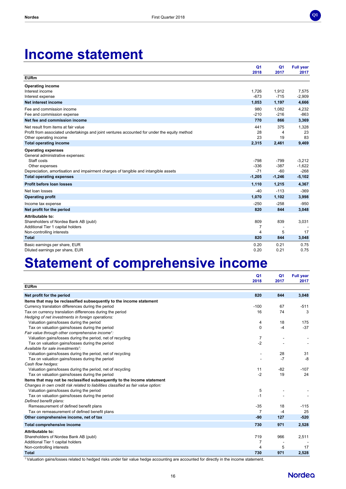

# **Income statement**

|                                                                                              | Q <sub>1</sub><br>2018 | Q <sub>1</sub><br>2017 | <b>Full year</b><br>2017 |
|----------------------------------------------------------------------------------------------|------------------------|------------------------|--------------------------|
| <b>EURm</b>                                                                                  |                        |                        |                          |
| <b>Operating income</b>                                                                      |                        |                        |                          |
| Interest income                                                                              | 1,726                  | 1,912                  | 7,575                    |
| Interest expense                                                                             | $-673$                 | $-715$                 | $-2,909$                 |
| Net interest income                                                                          | 1,053                  | 1,197                  | 4,666                    |
| Fee and commission income                                                                    | 980                    | 1,082                  | 4,232                    |
| Fee and commission expense                                                                   | $-210$                 | $-216$                 | $-863$                   |
| Net fee and commission income                                                                | 770                    | 866                    | 3,369                    |
| Net result from items at fair value                                                          | 441                    | 375                    | 1,328                    |
| Profit from associated undertakings and joint ventures accounted for under the equity method | 28                     | 4                      | 23                       |
| Other operating income                                                                       | 23                     | 19                     | 83                       |
| <b>Total operating income</b>                                                                | 2,315                  | 2,461                  | 9,469                    |
| <b>Operating expenses</b><br>General administrative expenses:                                |                        |                        |                          |
| Staff costs                                                                                  | $-798$                 | $-799$                 | $-3,212$                 |
| Other expenses                                                                               | $-336$                 | $-387$                 | $-1,622$                 |
| Depreciation, amortisation and impairment charges of tangible and intangible assets          | $-71$                  | $-60$                  | $-268$                   |
| <b>Total operating expenses</b>                                                              | $-1,205$               | $-1,246$               | $-5,102$                 |
| Profit before loan losses                                                                    | 1,110                  | 1,215                  | 4,367                    |
| Net Ioan Iosses                                                                              | $-40$                  | $-113$                 | $-369$                   |
| <b>Operating profit</b>                                                                      | 1,070                  | 1,102                  | 3,998                    |
| Income tax expense                                                                           | $-250$                 | $-258$                 | $-950$                   |
| Net profit for the period                                                                    | 820                    | 844                    | 3,048                    |
| Attributable to:                                                                             |                        |                        |                          |
| Shareholders of Nordea Bank AB (publ)                                                        | 809                    | 839                    | 3,031                    |
| Additional Tier 1 capital holders                                                            | 7                      |                        |                          |
| Non-controlling interests                                                                    | $\overline{4}$         | 5                      | 17                       |
| <b>Total</b>                                                                                 | 820                    | 844                    | 3,048                    |
| Basic earnings per share, EUR                                                                | 0.20                   | 0.21                   | 0.75                     |
| Diluted earnings per share, EUR                                                              | 0.20                   | 0.21                   | 0.75                     |

# **Statement of comprehensive income**

|                                                                                    | Q1<br>2018     | Q <sub>1</sub><br>2017 | <b>Full year</b><br>2017 |
|------------------------------------------------------------------------------------|----------------|------------------------|--------------------------|
| <b>EURm</b>                                                                        |                |                        |                          |
| Net profit for the period                                                          | 820            | 844                    | 3,048                    |
| Items that may be reclassified subsequently to the income statement                |                |                        |                          |
| Currency translation differences during the period                                 | $-100$         | 67                     | $-511$                   |
| Tax on currency translation differences during the period                          | 16             | 74                     | 3                        |
| Hedging of net investments in foreign operations:                                  |                |                        |                          |
| Valuation gains/losses during the period                                           | 4              | 18                     | 175                      |
| Tax on valuation gains/losses during the period                                    | 0              | $-4$                   | $-37$                    |
| Fair value through other comprehensive income <sup>1</sup> :                       |                |                        |                          |
| Valuation gains/losses during the period, net of recycling                         | 7              |                        |                          |
| Tax on valuation gains/losses during the period                                    | $-2$           |                        |                          |
| Available for sale investments <sup>1</sup> :                                      |                |                        |                          |
| Valuation gains/losses during the period, net of recycling                         |                | 28                     | 31                       |
| Tax on valuation gains/losses during the period                                    |                | $-7$                   | -8                       |
| Cash flow hedges:                                                                  |                |                        |                          |
| Valuation gains/losses during the period, net of recycling                         | 11             | $-82$                  | $-107$                   |
| Tax on valuation gains/losses during the period                                    | $-2$           | 19                     | 24                       |
| Items that may not be reclassified subsequently to the income statement            |                |                        |                          |
| Changes in own credit risk related to liabilities classified as fair value option: |                |                        |                          |
| Valuation gains/losses during the period                                           | 5              |                        |                          |
| Tax on valuation gains/losses during the period                                    | $-1$           |                        |                          |
| Defined benefit plans:                                                             |                |                        |                          |
| Remeasurement of defined benefit plans                                             | $-35$          | 18                     | $-115$                   |
| Tax on remeasurement of defined benefit plans                                      | $\overline{7}$ | $-4$                   | 25                       |
| Other comprehensive income, net of tax                                             | $-90$          | 127                    | $-520$                   |
| <b>Total comprehensive income</b>                                                  | 730            | 971                    | 2,528                    |
| Attributable to:                                                                   |                |                        |                          |
| Shareholders of Nordea Bank AB (publ)                                              | 719            | 966                    | 2,511                    |
| Additional Tier 1 capital holders                                                  | 7              |                        |                          |
| Non-controlling interests                                                          | 4              | 5                      | 17                       |
| <b>Total</b>                                                                       | 730            | 971                    | 2,528                    |

<sup>1</sup> Valuation gains/losses related to hedged risks under fair value hedge accounting are accounted for directly in the income statement.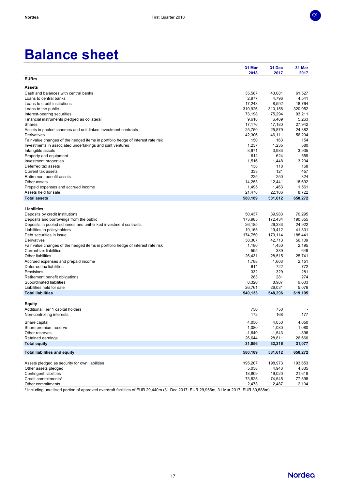

|                                                                                 | 31 Mar<br>2018    | 31 Dec<br>2017    | 31 Mar<br>2017   |
|---------------------------------------------------------------------------------|-------------------|-------------------|------------------|
| <b>EURm</b>                                                                     |                   |                   |                  |
| <b>Assets</b>                                                                   |                   |                   |                  |
| Cash and balances with central banks                                            | 35,587            | 43,081            | 61,527           |
| Loans to central banks                                                          | 2,977             | 4,796             | 4,541            |
| Loans to credit institutions                                                    | 17,243            | 8,592             | 18.764           |
| Loans to the public                                                             | 310,926           | 310,158           | 320,052          |
| Interest-bearing securities                                                     | 73,198            | 75,294            | 93,211           |
| Financial instruments pledged as collateral                                     | 9,618             | 6,489             | 5,263            |
| Shares                                                                          | 17,176            | 17,180            | 27,942           |
| Assets in pooled schemes and unit-linked investment contracts                   | 25,750            | 25,879            | 24,382           |
| Derivatives                                                                     | 42,306            | 46,111            | 56,204           |
| Fair value changes of the hedged items in portfolio hedge of interest rate risk | 150               | 163               | 154              |
| Investments in associated undertakings and joint ventures                       | 1,237             | 1,235             | 580              |
| Intangible assets                                                               | 3,971             | 3,983             | 3,935            |
| Property and equipment                                                          | 612               | 624               | 559              |
| Investment properties                                                           | 1,516             | 1,448             | 3,234            |
| Deferred tax assets                                                             | 138               | 118               | 168              |
| Current tax assets                                                              | 333               | 121               | 457              |
| Retirement benefit assets                                                       | 225               | 250               | 324              |
| Other assets                                                                    | 14,253            | 12,441            | 18,692           |
| Prepaid expenses and accrued income                                             | 1,495             | 1,463             | 1,561            |
| Assets held for sale<br><b>Total assets</b>                                     | 21,478<br>580,189 | 22,186<br>581,612 | 8,722<br>650,272 |
|                                                                                 |                   |                   |                  |
| <b>Liabilities</b>                                                              |                   |                   |                  |
| Deposits by credit institutions                                                 | 50,437            | 39,983            | 70.295           |
| Deposits and borrowings from the public                                         | 173,985           | 172,434           | 190,855          |
| Deposits in pooled schemes and unit-linked investment contracts                 | 26,185            | 26,333            | 24,922           |
| Liabilities to policyholders                                                    | 19,165            | 19.412            | 41,831           |
| Debt securities in issue                                                        | 174,750           | 179,114           | 188,441          |
| Derivatives                                                                     | 38,307            | 42,713            | 56,109           |
| Fair value changes of the hedged items in portfolio hedge of interest rate risk | 1,180             | 1,450             | 2,195            |
| <b>Current tax liabilities</b>                                                  | 595               | 389               | 649              |
| <b>Other liabilities</b>                                                        | 26,431            | 28,515            | 25,741           |
| Accrued expenses and prepaid income                                             | 1,788             | 1,603             | 2,151            |
| Deferred tax liabilities                                                        | 614               | 722               | 772              |
| Provisions                                                                      | 332               | 329               | 281              |
| Retirement benefit obligations                                                  | 283               | 281               | 274              |
| Subordinated liabilities                                                        | 8,320             | 8,987             | 9,603            |
| Liabilities held for sale                                                       | 26,761            | 26,031            | 5,076            |
| <b>Total liabilities</b>                                                        | 549,133           | 548,296           | 619,195          |
|                                                                                 |                   |                   |                  |
| <b>Equity</b>                                                                   | 750               | 750               |                  |
| Additional Tier 1 capital holders                                               | 172               | 168               | 177              |
| Non-controlling interests                                                       |                   |                   |                  |
| Share capital                                                                   | 4,050             | 4,050             | 4,050            |
| Share premium reserve                                                           | 1,080             | 1,080             | 1,080            |
| Other reserves                                                                  | $-1,640$          | $-1,543$          | $-896$           |
| Retained earnings                                                               | 26,644            | 28,811            | 26,666           |
| <b>Total equity</b>                                                             | 31,056            | 33,316            | 31,077           |
| <b>Total liabilities and equity</b>                                             | 580,189           | 581,612           | 650,272          |
| Assets pledged as security for own liabilities                                  | 195,207           | 198,973           | 193,653          |
| Other assets pledged                                                            | 5,038             | 4,943             | 4,835            |
| Contingent liabilities                                                          | 18,809            | 19,020            | 21,618           |
| Credit commitments <sup>1</sup>                                                 | 73,525            | 74,545            | 77,898           |
| Other commitments                                                               | 2,473             | 2,487             | 2,104            |

1 Including unutilised portion of approved overdraft facilities of EUR 29,440m (31 Dec 2017: EUR 29,956m, 31 Mar 2017: EUR 30,588m).



**Q1**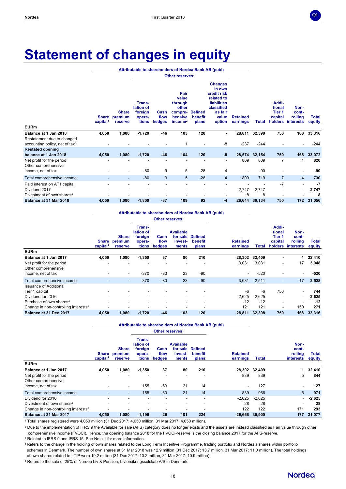

# **Statement of changes in equity**

**Attributable to shareholders of Nordea Bank AB (publ)**

|                                                                 |                               |                                    | <b>Other reserves:</b>                            |                        |                                                                                |                                    |                                                                                                                         |                             |          |                                                 |                                       |                        |
|-----------------------------------------------------------------|-------------------------------|------------------------------------|---------------------------------------------------|------------------------|--------------------------------------------------------------------------------|------------------------------------|-------------------------------------------------------------------------------------------------------------------------|-----------------------------|----------|-------------------------------------------------|---------------------------------------|------------------------|
|                                                                 | Share<br>capital <sup>1</sup> | <b>Share</b><br>premium<br>reserve | Trans-<br>lation of<br>foreign<br>opera-<br>tions | Cash<br>flow<br>hedges | Fair<br>value<br>through<br>other<br>compre-<br>hensive<br>income <sup>2</sup> | <b>Defined</b><br>benefit<br>plans | <b>Changes</b><br>in own<br>credit risk<br>related to<br><b>liabilities</b><br>classified<br>as fair<br>value<br>option | <b>Retained</b><br>earnings | Total    | Addi-<br>tional<br>Tier 1<br>capital<br>holders | Non-<br>cont-<br>rolling<br>interests | <b>Total</b><br>equity |
| <b>EURm</b>                                                     |                               |                                    |                                                   |                        |                                                                                |                                    |                                                                                                                         |                             |          |                                                 |                                       |                        |
| Balance at 1 Jan 2018                                           | 4,050                         | 1,080                              | $-1,720$                                          | $-46$                  | 103                                                                            | 120                                | ۰.                                                                                                                      | 28,811                      | 32,398   | 750                                             | 168                                   | 33,316                 |
| Restatement due to changed<br>accounting policy, net of tax $3$ |                               |                                    |                                                   |                        | 1                                                                              |                                    | -8                                                                                                                      | $-237$                      | $-244$   |                                                 |                                       | $-244$                 |
| <b>Restated opening</b>                                         |                               |                                    |                                                   |                        |                                                                                |                                    |                                                                                                                         |                             |          |                                                 |                                       |                        |
| balance at 1 Jan 2018                                           | 4,050                         | 1,080                              | $-1,720$                                          | -46                    | 104                                                                            | 120                                | -8                                                                                                                      | 28,574                      | 32,154   | 750                                             | 168                                   | 33,072                 |
| Net profit for the period<br>Other comprehensive                | ٠                             |                                    |                                                   | ٠                      |                                                                                |                                    |                                                                                                                         | 809                         | 809      | $\overline{7}$                                  | 4                                     | 820                    |
| income, net of tax                                              |                               | ۰.                                 | $-80$                                             | 9                      | 5                                                                              | $-28$                              | 4                                                                                                                       |                             | $-90$    |                                                 |                                       | -90                    |
| Total comprehensive income                                      |                               | ٠                                  | $-80$                                             | 9                      | $5\phantom{.0}$                                                                | $-28$                              | $\overline{4}$                                                                                                          | 809                         | 719      | $\overline{7}$                                  | $\overline{4}$                        | 730                    |
| Paid interest on AT1 capital                                    |                               |                                    | ٠                                                 |                        |                                                                                |                                    |                                                                                                                         |                             |          | $-7$                                            | ٠                                     | -7                     |
| Dividend 2017                                                   |                               |                                    | ٠                                                 |                        | ٠                                                                              |                                    | ۰.                                                                                                                      | $-2,747$                    | $-2,747$ |                                                 | Ξ.                                    | $-2,747$               |
| Divestment of own shares <sup>4</sup>                           |                               |                                    |                                                   |                        |                                                                                |                                    |                                                                                                                         | 8                           | 8        |                                                 |                                       | 8                      |
| Balance at 31 Mar 2018                                          | 4,050                         | 1,080                              | $-1,800$                                          | $-37$                  | 109                                                                            | 92                                 | $-4$                                                                                                                    | 26,644                      | 30,134   | 750                                             | 172                                   | 31,056                 |

#### **Attributable to shareholders of Nordea Bank AB (publ)**

|                                                  |                          |                                          |                                                   |                        | <b>Other reserves:</b>                           |                                    |                             |          |                                                 |                                       |                 |
|--------------------------------------------------|--------------------------|------------------------------------------|---------------------------------------------------|------------------------|--------------------------------------------------|------------------------------------|-----------------------------|----------|-------------------------------------------------|---------------------------------------|-----------------|
|                                                  | capital <sup>1</sup>     | <b>Share</b><br>Share premium<br>reserve | Trans-<br>lation of<br>foreign<br>opera-<br>tions | Cash<br>flow<br>hedges | <b>Available</b><br>for sale<br>invest-<br>ments | <b>Defined</b><br>benefit<br>plans | <b>Retained</b><br>earnings | Total    | Addi-<br>tional<br>Tier 1<br>capital<br>holders | Non-<br>cont-<br>rolling<br>interests | Total<br>equity |
| <b>EURm</b>                                      |                          |                                          |                                                   |                        |                                                  |                                    |                             |          |                                                 |                                       |                 |
| Balance at 1 Jan 2017                            | 4,050                    | 1,080                                    | $-1,350$                                          | 37                     | 80                                               | 210                                | 28,302                      | 32,409   | ۰                                               |                                       | 32,410          |
| Net profit for the period<br>Other comprehensive |                          |                                          |                                                   |                        |                                                  |                                    | 3,031                       | 3,031    | $\overline{\phantom{a}}$                        | 17                                    | 3,048           |
| income, net of tax                               |                          | $\overline{\phantom{a}}$                 | $-370$                                            | -83                    | 23                                               | $-90$                              | ۰                           | $-520$   |                                                 | ۰.                                    | -520            |
| Total comprehensive income                       | $\overline{\phantom{a}}$ | ٠                                        | $-370$                                            | $-83$                  | 23                                               | $-90$                              | 3,031                       | 2,511    | ۰                                               | 17                                    | 2,528           |
| <b>Issuance of Additional</b><br>Tier 1 capital  |                          |                                          |                                                   |                        |                                                  |                                    | $-6$                        | -6       | 750                                             |                                       | 744             |
| Dividend for 2016                                |                          | -                                        |                                                   |                        |                                                  |                                    | $-2,625$                    | $-2,625$ |                                                 | ۰.                                    | $-2,625$        |
| Purchase of own shares <sup>4</sup>              |                          | -                                        | ۰                                                 |                        |                                                  | ۰                                  | $-12$                       | $-12$    | ٠                                               |                                       | $-12$           |
| Change in non-controlling interests <sup>5</sup> |                          |                                          |                                                   |                        |                                                  |                                    | 121                         | 121      |                                                 | 150                                   | 271             |
| Balance at 31 Dec 2017                           | 4,050                    | 1,080                                    | $-1,720$                                          | $-46$                  | 103                                              | 120                                | 28,811                      | 32,398   | 750                                             | 168                                   | 33,316          |

#### **Attributable to shareholders of Nordea Bank AB (publ)**

|                                                  |                                      |                                    |                                                   |                        | <b>Other reserves:</b>                           |                                    |                             |               |                                              |                        |
|--------------------------------------------------|--------------------------------------|------------------------------------|---------------------------------------------------|------------------------|--------------------------------------------------|------------------------------------|-----------------------------|---------------|----------------------------------------------|------------------------|
|                                                  | <b>Share</b><br>capital <sup>1</sup> | <b>Share</b><br>premium<br>reserve | Trans-<br>lation of<br>foreign<br>opera-<br>tions | Cash<br>flow<br>hedges | <b>Available</b><br>for sale<br>invest-<br>ments | <b>Defined</b><br>benefit<br>plans | <b>Retained</b><br>earnings | <b>Total</b>  | Non-<br>cont-<br>rolling<br><i>interests</i> | <b>Total</b><br>equity |
| <b>EURm</b>                                      |                                      |                                    |                                                   |                        |                                                  |                                    |                             |               |                                              |                        |
| Balance at 1 Jan 2017                            | 4,050                                | 1,080                              | $-1,350$                                          | 37                     | 80                                               | 210                                |                             | 28,302 32,409 | 1                                            | 32,410                 |
| Net profit for the period<br>Other comprehensive |                                      |                                    |                                                   |                        |                                                  |                                    | 839                         | 839           | 5                                            | 844                    |
| income, net of tax                               |                                      | ٠                                  | 155                                               | -63                    | 21                                               | 14                                 | -                           | 127           | -                                            | 127                    |
| Total comprehensive income                       |                                      | ۰.                                 | 155                                               | $-63$                  | 21                                               | 14                                 | 839                         | 966           | 5                                            | 971                    |
| Dividend for 2016                                |                                      | $\overline{\phantom{a}}$           | ٠                                                 | -                      |                                                  | ٠                                  | $-2,625$                    | $-2,625$      | $\sim$                                       | $-2,625$               |
| Divestment of own shares <sup>4</sup>            |                                      | -                                  | ۰                                                 |                        |                                                  |                                    | 28                          | 28            | -                                            | 28                     |
| Change in non-controlling interests <sup>5</sup> |                                      |                                    |                                                   |                        |                                                  |                                    | 122                         | 122           | 171                                          | 293                    |
| Balance at 31 Mar 2017                           | 4.050                                | 1,080                              | $-1,195$                                          | $-26$                  | 101                                              | 224                                | 26,666                      | 30,900        | 177                                          | 31,077                 |

<sup>1</sup> Total shares registered were 4,050 million (31 Dec 2017: 4,050 million, 31 Mar 2017: 4,050 million).

<sup>2</sup> Due to the implementation of IFRS 9 the Available for sale (AFS) category does no longer exists and the assets are instead classified as Fair value through other comprehensive income (FVOCI). Hence, the opening balance 2018 for the FVOCI-reserve is the closing balance 2017 for the AFS-reserve.

<sup>3</sup> Related to IFRS 9 and IFRS 15. See Note 1 for more information.

<sup>4</sup> Refers to the change in the holding of own shares related to the Long Term Incentive Programme, trading portfolio and Nordea's shares within portfolio schemes in Denmark. The number of own shares at 31 Mar 2018 was 12.9 million (31 Dec 2017: 13.7 million, 31 Mar 2017: 11.0 million). The total holdings of own shares related to LTIP were 10.2 million (31 Dec 2017: 10.2 million, 31 Mar 2017: 10.9 million).

<sup>5</sup> Refers to the sale of 25% of Nordea Liv & Pension, Livforsikringsselskab A/S in Denmark.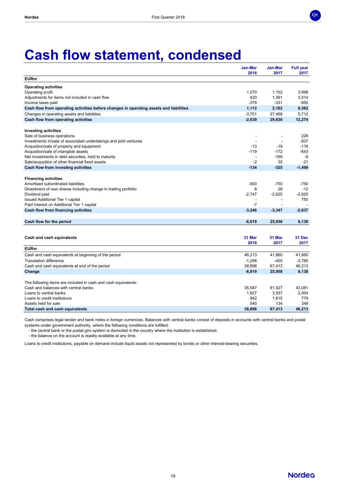

# **Cash flow statement, condensed**

|                                                                                        | Jan-Mar<br>2018          | <b>Jan-Mar</b><br>2017   | <b>Full year</b><br>2017 |
|----------------------------------------------------------------------------------------|--------------------------|--------------------------|--------------------------|
| <b>EURm</b>                                                                            |                          |                          |                          |
| <b>Operating activities</b>                                                            |                          |                          |                          |
| Operating profit                                                                       | 1,070                    | 1,102                    | 3,998                    |
| Adjustments for items not included in cash flow                                        | 420                      | 1,391                    | 3,514                    |
| Income taxes paid                                                                      | $-378$                   | $-331$                   | $-950$                   |
| Cash flow from operating activities before changes in operating assets and liabilities | 1,112                    | 2,162                    | 6,562                    |
| Changes in operating assets and liabilities                                            | $-3,751$                 | 27,468                   | 5,712                    |
| Cash flow from operating activities                                                    | $-2,639$                 | 29,630                   | 12,274                   |
| <b>Investing activities</b>                                                            |                          |                          |                          |
| Sale of business operations                                                            |                          |                          | 228                      |
| Investments in/sale of associated undertakings and joint ventures                      |                          |                          | $-937$                   |
| Acqusition/sale of property and equipment                                              | $-13$                    | $-19$                    | $-118$                   |
| Acqusition/sale of intangible assets                                                   | $-119$                   | $-172$                   | $-643$                   |
| Net investments in debt securities, held to maturity                                   | $\overline{\phantom{a}}$ | $-169$                   | -8                       |
| Sale/acqusition of other financial fixed assets                                        | $-2$                     | 35                       | $-21$                    |
| Cash flow from investing activities                                                    | $-134$                   | $-325$                   | $-1,499$                 |
| <b>Financing activities</b>                                                            |                          |                          |                          |
| Amortised subordinated liabilities                                                     | $-500$                   | $-750$                   | $-750$                   |
| Divestment of own shares including change in trading portfolio                         | 8                        | 28                       | $-12$                    |
| Dividend paid                                                                          | $-2.747$                 | $-2,625$                 | $-2,625$                 |
| <b>Issued Additional Tier 1 capital</b>                                                | $\overline{\phantom{a}}$ | $\overline{\phantom{a}}$ | 750                      |
| Paid interest on Additional Tier 1 capital                                             | $-7$                     |                          |                          |
| Cash flow from financing activities                                                    | $-3,246$                 | $-3,347$                 | $-2,637$                 |
|                                                                                        |                          |                          |                          |
| Cash flow for the period                                                               | $-6,019$                 | 25,958                   | 8,138                    |
|                                                                                        |                          |                          |                          |
| Cash and cash equivalents                                                              | 31 Mar                   | 31 Mar                   | 31 Dec                   |
|                                                                                        | 2018                     | 2017                     | 2017                     |
| <b>EURm</b>                                                                            |                          |                          |                          |
| Cash and cash equivalents at beginning of the period                                   | 46,213                   | 41,860                   | 41,860                   |
| <b>Translation difference</b>                                                          | $-1,298$                 | $-405$                   | $-3,785$                 |
| Cash and cash equivalents at end of the period                                         | 38,896                   | 67,413                   | 46,213                   |
| Change                                                                                 | $-6,019$                 | 25,958                   | 8,138                    |
| The following items are included in cash and cash equivalents:                         |                          |                          |                          |
| Cash and balances with central banks                                                   | 35,587                   | 61,527                   | 43,081                   |
| Loans to central banks                                                                 | 1,827                    | 3,937                    | 2,004                    |
| Loans to credit institutions                                                           | 942                      | 1,815                    | 779                      |
| Assets held for sale                                                                   | 540                      | 134                      | 349                      |
| Total cash and cash equivalents                                                        | 38,896                   | 67,413                   | 46,213                   |

Cash comprises legal tender and bank notes in foreign currencies. Balances with central banks consist of deposits in accounts with central banks and postal systems under government authority, where the following conditions are fulfilled:

- the central bank or the postal giro system is domiciled in the country where the institution is established.

- the balance on the account is readily available at any time.

Loans to credit institutions, payable on demand include liquid assets not represented by bonds or other interest-bearing securities.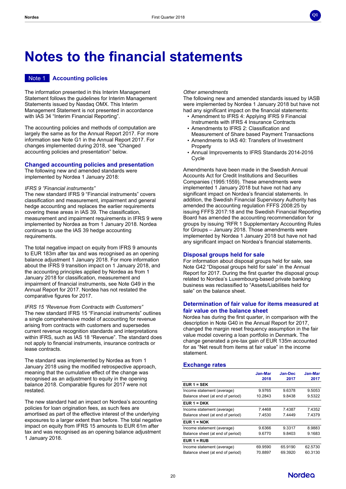

# **Notes to the financial statements**

# Note 1 **Accounting policies**

The information presented in this Interim Management Statement follows the guidelines for Interim Management Statements issued by Nasdaq OMX. This Interim Management Statement is not presented in accordance with IAS 34 "Interim Financial Reporting".

The accounting policies and methods of computation are largely the same as for the Annual Report 2017. For more information see Note G1 in the Annual Report 2017. For changes implemented during 2018, see "Changed accounting policies and presentation" below.

## **Changed accounting policies and presentation**

The following new and amended standards were implemented by Nordea 1 January 2018:

#### *IFRS 9 "Financial instruments"*

The new standard IFRS 9 "Financial instruments" covers classification and measurement, impairment and general hedge accounting and replaces the earlier requirements covering these areas in IAS 39. The classification, measurement and impairment requirements in IFRS 9 were implemented by Nordea as from 1 January 2018. Nordea continues to use the IAS 39 hedge accounting requirements.

The total negative impact on equity from IFRS 9 amounts to EUR 183m after tax and was recognised as an opening balance adjustment 1 January 2018. For more information about the IFRS 9 transition impact on 1 January 2018, and the accounting principles applied by Nordea as from 1 January 2018 for classification, measurement and impairment of financial instruments, see Note G49 in the Annual Report for 2017. Nordea has not restated the comparative figures for 2017.

*IFRS 15 "Revenue from Contracts with Customers"* The new standard IFRS 15 "Financial instruments" outlines a single comprehensive model of accounting for revenue arising from contracts with customers and supersedes current revenue recognition standards and interpretations within IFRS, such as IAS 18 "Revenue". The standard does not apply to financial instruments, insurance contracts or lease contracts.

The standard was implemented by Nordea as from 1 January 2018 using the modified retrospective approach, meaning that the cumulative effect of the change was recognised as an adjustment to equity in the opening balance 2018. Comparable figures for 2017 were not restated.

The new standard had an impact on Nordea's accounting policies for loan origination fees, as such fees are amortised as part of the effective interest of the underlying exposures to a larger extent than before. The total negative impact on equity from IFRS 15 amounts to EUR 61m after tax and was recognised as an opening balance adjustment 1 January 2018.

#### *Other amendments*

The following new and amended standards issued by IASB were implemented by Nordea 1 January 2018 but have not had any significant impact on the financial statements:

- Amendment to IFRS 4: Applying IFRS 9 Financial Instruments with IFRS 4 Insurance Contracts
- Amendments to IFRS 2: Classification and Measurement of Share based Payment Transactions
- Amendments to IAS 40: Transfers of Investment **Property**
- Annual Improvements to IFRS Standards 2014-2016 Cycle

Amendments have been made in the Swedish Annual Accounts Act for Credit Institutions and Securities Companies (1995:1559). These amendments were implemented 1 January 2018 but have not had any significant impact on Nordea's financial statements. In addition, the Swedish Financial Supervisory Authority has amended the accounting regulation FFFS 2008:25 by issuing FFFS 2017:18 and the Swedish Financial Reporting Board has amended the accounting recommendation for groups by issuing "RFR 1 Supplementary Accounting Rules for Groups – January 2018. Those amendments were implemented by Nordea 1 January 2018 but have not had any significant impact on Nordea's financial statements.

#### **Disposal groups held for sale**

For information about disposal groups held for sale, see Note G42 "Disposal groups held for sale" in the Annual Report for 2017. During the first quarter the disposal group related to Nordea's Luxembourg-based private banking business was reclassified to "Assets/Liabilities held for sale" on the balance sheet.

### **Determination of fair value for items measured at fair value on the balance sheet**

Nordea has during the first quarter, in comparison with the description in Note G40 in the Annual Report for 2017, changed the margin reset frequency assumption in the fair value model covering a loan portfolio in Denmark. The change generated a pre-tax gain of EUR 135m accounted for as "Net result from items at fair value" in the income statement.

## **Exchange rates**

|                                  | Jan-Mar | Jan-Dec | Jan-Mar |
|----------------------------------|---------|---------|---------|
|                                  | 2018    | 2017    | 2017    |
| <b>EUR 1 = SEK</b>               |         |         |         |
| Income statement (average)       | 9.9765  | 9.6378  | 9.5053  |
| Balance sheet (at end of period) | 10.2843 | 9.8438  | 9.5322  |
| $EUR 1 = DKK$                    |         |         |         |
| Income statement (average)       | 7.4468  | 7.4387  | 7.4352  |
| Balance sheet (at end of period) | 7.4530  | 7.4449  | 7.4379  |
| $EUR 1 = NOK$                    |         |         |         |
| Income statement (average)       | 9.6366  | 9.3317  | 8.9883  |
| Balance sheet (at end of period) | 9.6770  | 9.8403  | 9.1683  |
| $E$ UR 1 = RUB                   |         |         |         |
| Income statement (average)       | 69.9590 | 65.9190 | 62.5730 |
| Balance sheet (at end of period) | 70.8897 | 69.3920 | 60.3130 |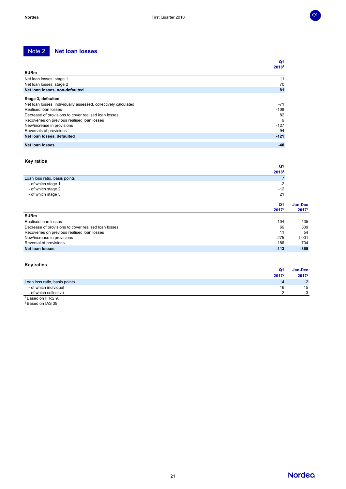# Note 2 **Net loan losses**

|                                                                 | Q <sub>1</sub> |
|-----------------------------------------------------------------|----------------|
|                                                                 | 20181          |
| <b>EURm</b>                                                     |                |
| Net loan losses, stage 1                                        | 11             |
| Net loan losses, stage 2                                        | 70             |
| Net loan losses, non-defaulted                                  | 81             |
| Stage 3, defaulted                                              |                |
| Net loan losses, individually assessed, collectively calculated | $-71$          |
| Realised loan losses                                            | $-108$         |
| Decrease of provisions to cover realised loan losses            | 82             |
| Recoveries on previous realised loan losses                     | 9              |
| New/increase in provisions                                      | $-127$         |
| Reversals of provisions                                         | 94             |
| Net loan losses, defaulted                                      | $-121$         |
| Net loan losses                                                 | $-40$          |

#### **Key ratios**

| <b>IVEY LALIUS</b>                                   |                   |                   |  |
|------------------------------------------------------|-------------------|-------------------|--|
|                                                      | Q <sub>1</sub>    |                   |  |
|                                                      | 20181             |                   |  |
| Loan loss ratio, basis points                        |                   |                   |  |
| - of which stage 1                                   | $-2$              |                   |  |
| - of which stage 2                                   | $-12$             |                   |  |
| - of which stage 3                                   | 21                |                   |  |
|                                                      | Q <sub>1</sub>    | Jan-Dec           |  |
|                                                      | 2017 <sup>2</sup> | 2017 <sup>2</sup> |  |
| <b>EURm</b>                                          |                   |                   |  |
| Realised loan losses                                 | $-104$            | $-435$            |  |
| Decrease of provisions to cover realised loan losses | 69                | 309               |  |
| Recoveries on previous realised loan losses          | 11                | 54                |  |
| New/increase in provisions                           | $-275$            | $-1,001$          |  |
| Reversal of provisions                               | 186               | 704               |  |
| <b>Net loan losses</b>                               | $-113$            | $-369$            |  |

# **Key ratios**

|                               | Q <sub>1</sub>    | <b>Jan-Dec</b>  |
|-------------------------------|-------------------|-----------------|
|                               | 2017 <sup>2</sup> | 20172           |
| Loan loss ratio, basis points | 14                | 12 <sup>7</sup> |
| - of which individual         | 16                | 15              |
| - of which collective         | $-2$              | $-3$            |
| <sup>1</sup> Based on IFRS 9. |                   |                 |

<sup>2</sup> Based on IAS 39.

**Nordea**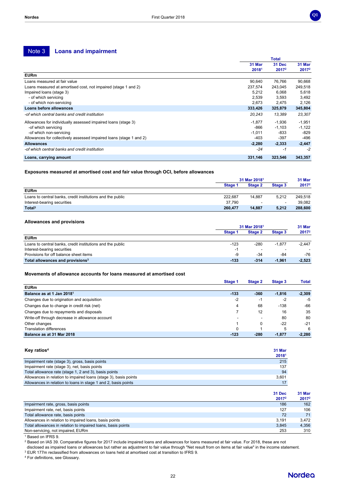# Note 3 **Loans and impairment**

|                                                                     |          | Total             |          |  |
|---------------------------------------------------------------------|----------|-------------------|----------|--|
|                                                                     | 31 Mar   | 31 Dec            | 31 Mar   |  |
|                                                                     | 20181    | 2017 <sup>2</sup> | $2017^2$ |  |
| <b>EURm</b>                                                         |          |                   |          |  |
| Loans measured at fair value                                        | 90,640   | 76,766            | 90,668   |  |
| Loans measured at amortised cost, not impaired (stage 1 and 2)      | 237,574  | 243.045           | 249,518  |  |
| Impaired loans (stage 3)                                            | 5.212    | 6,068             | 5,618    |  |
| - of which servicing                                                | 2,539    | 3,593             | 3,492    |  |
| - of which non-servicing                                            | 2,673    | 2,475             | 2,126    |  |
| Loans before allowances                                             | 333,426  | 325,879           | 345,804  |  |
| -of which central banks and credit institution                      | 20,243   | 13,389            | 23,307   |  |
| Allowances for individually assessed impaired loans (stage 3)       | -1.877   | -1,936            | $-1,951$ |  |
| -of which servicing                                                 | $-866$   | $-1,103$          | $-1,122$ |  |
| -of which non-servicing                                             | $-1,011$ | -833              | $-829$   |  |
| Allowances for collectively assessed impaired loans (stage 1 and 2) | $-403$   | $-397$            | $-496$   |  |
| <b>Allowances</b>                                                   | $-2,280$ | $-2,333$          | $-2,447$ |  |
| -of which central banks and credit institution                      | $-24$    | -1                | $-2$     |  |
| Loans, carrying amount                                              | 331,146  | 323,546           | 343,357  |  |

#### **Exposures measured at amortised cost and fair value through OCI, before allowances**

|                                                            | 31 Mar 20181 |         |         | 31 Mar  |
|------------------------------------------------------------|--------------|---------|---------|---------|
|                                                            | Stage 1      | Stage 2 | Stage 3 | 20172   |
| <b>EURm</b>                                                |              |         |         |         |
| Loans to central banks, credit institutions and the public | 222.687      | 14.887  | 5.212   | 249,518 |
| Interest-bearing securities                                | 37.790       |         | $\sim$  | 39.082  |
| Total <sup>3</sup>                                         | 260,477      | 14.887  | 5,212   | 288,600 |

#### **Allowances and provisions**

|                                                            | 31 Mar 2018 <sup>1</sup> |                          |          | 31 Mar   |
|------------------------------------------------------------|--------------------------|--------------------------|----------|----------|
|                                                            | Stage 1                  | Stage 2                  | Stage 3  | 20172    |
| <b>EURm</b>                                                |                          |                          |          |          |
| Loans to central banks, credit institutions and the public | $-123$                   | $-280$                   | $-1.877$ | $-2.447$ |
| Interest-bearing securities                                | -1                       | $\overline{\phantom{a}}$ |          |          |
| Provisions for off balance sheet items                     | -9                       | -34                      | -84      | $-76$    |
| Total allowances and provisions <sup>3</sup>               | -133                     | $-314$                   | $-1.961$ | $-2,523$ |

#### **Movements of allowance accounts for loans measured at amortised cost**

|                                                 | Stage 1 | Stage 2 | Stage 3  | <b>Total</b> |
|-------------------------------------------------|---------|---------|----------|--------------|
| <b>EURm</b>                                     |         |         |          |              |
| Balance as at 1 Jan 2018 <sup>1</sup>           | $-133$  | $-360$  | $-1.816$ | $-2,309$     |
| Changes due to origination and acquisition      | -2      | -1      | -2       | -5           |
| Changes due to change in credit risk (net)      | 4       | 68      | $-138$   | -66          |
| Changes due to repayments and disposals         |         | 12      | 16       | 35           |
| Write-off through decrease in allowance account | -       | -       | 80       | 80           |
| Other changes                                   |         | 0       | $-22$    | $-21$        |
| <b>Translation differences</b>                  |         |         | 5        | 6            |
| Balance as at 31 Mar 2018                       | $-123$  | $-280$  | $-1.877$ | $-2,280$     |

#### **Key ratios<sup>4</sup> 31 Mar 2018<sup>1</sup>** Impairment rate (stage 3), gross, basis points 215 Impairment rate (stage 3), net, basis points Total allowance rate (stage 1, 2 and 3), basis points 94<br>
Allowances in relation to impaired loans (stage 3), basis points 94<br>
3,601 Allowances in relation to impaired loans (stage 3), basis points Allowances in relation to loans in stage 1 and 2, basis points 17 and 17 and 17 and 17 and 17 and 17 and 17 and 17 and 17 and 17 and 17 and 17 and 17 and 17 and 17 and 17 and 17 and 17 and 17 and 17 and 17 and 17 and 17 an

|                                                              | 31 Dec<br>20172 | 31 Mar<br>20172 |
|--------------------------------------------------------------|-----------------|-----------------|
| Impairment rate, gross, basis points                         | 186             | 162             |
| Impairment rate, net, basis points                           | 127             | 106             |
| Total allowance rate, basis points                           | 72              | 71              |
| Allowances in relation to impaired loans, basis points       | 3.191           | 3.472           |
| Total allowances in relation to impaired loans, basis points | 3.845           | 4.356           |
| Non-servicing, not impaired, EURm                            | 253             | 310             |

<sup>1</sup> Based on IFRS 9.

<sup>2</sup> Based on IAS 39. Comparative figures for 2017 include impaired loans and allowances for loans measured at fair value. For 2018, these are not

disclosed as impaired loans or allowances but rather as adjustment to fair value through "Net result from on items at fair value" in the income statement.

<sup>3</sup> EUR 177m reclassified from allowances on loans held at amortised cost at transition to IFRS 9.

<sup>4</sup> For definitions, see Glossary.



**Q1**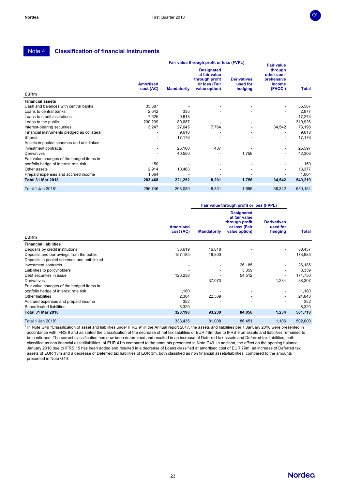# Note 4 **Classification of financial instruments**

|                                             |                               |                    | Fair value through profit or loss (FVPL)                                               |                                           | <b>Fair value</b>                                        |         |
|---------------------------------------------|-------------------------------|--------------------|----------------------------------------------------------------------------------------|-------------------------------------------|----------------------------------------------------------|---------|
|                                             | <b>Amortised</b><br>cost (AC) | <b>Mandatorily</b> | <b>Designated</b><br>at fair value<br>through profit<br>or loss (Fair<br>value option) | <b>Derivatives</b><br>used for<br>hedging | through<br>other com-<br>prehensive<br>income<br>(FVOCI) | Total   |
| <b>EURm</b>                                 |                               |                    |                                                                                        |                                           |                                                          |         |
| <b>Financial assets</b>                     |                               |                    |                                                                                        |                                           |                                                          |         |
| Cash and balances with central banks        | 35,587                        |                    |                                                                                        |                                           |                                                          | 35,587  |
| Loans to central banks                      | 2,642                         | 335                |                                                                                        |                                           |                                                          | 2,977   |
| Loans to credit institutions                | 7,625                         | 9,618              |                                                                                        |                                           |                                                          | 17,243  |
| Loans to the public                         | 230,239                       | 80,687             |                                                                                        |                                           |                                                          | 310,926 |
| Interest-bearing securities                 | 3,247                         | 27,645             | 7,764                                                                                  |                                           | 34,542                                                   | 73,198  |
| Financial instruments pledged as collateral |                               | 9,618              |                                                                                        |                                           |                                                          | 9,618   |
| Shares                                      |                               | 17,176             |                                                                                        |                                           | $\overline{\phantom{a}}$                                 | 17,176  |
| Assets in pooled schemes and unit-linked    |                               |                    |                                                                                        |                                           |                                                          |         |
| investment contracts                        |                               | 25,160             | 437                                                                                    |                                           | $\overline{\phantom{a}}$                                 | 25,597  |
| Derivatives                                 |                               | 40,550             |                                                                                        | 1,756                                     | $\overline{\phantom{a}}$                                 | 42,306  |
| Fair value changes of the hedged items in   |                               |                    |                                                                                        |                                           |                                                          |         |
| portfolio hedge of interest rate risk       | 150                           |                    |                                                                                        |                                           |                                                          | 150     |
| Other assets                                | 2,914                         | 10,463             |                                                                                        |                                           | $\overline{\phantom{a}}$                                 | 13,377  |
| Prepaid expenses and accrued income         | 1,064                         |                    |                                                                                        |                                           |                                                          | 1,064   |
| <b>Total 31 Mar 2018</b>                    | 283,468                       | 221,252            | 8,201                                                                                  | 1,756                                     | 34,542                                                   | 549,219 |
| Total 1 Jan 2018 <sup>1</sup>               | 295.746                       | 208,039            | 8,331                                                                                  | 1,696                                     | 36,342                                                   | 550,154 |

|                                            |                               | Fair value through profit or loss (FVPL) |                                                                                        |                                           |         |
|--------------------------------------------|-------------------------------|------------------------------------------|----------------------------------------------------------------------------------------|-------------------------------------------|---------|
|                                            | <b>Amortised</b><br>cost (AC) | <b>Mandatorily</b>                       | <b>Designated</b><br>at fair value<br>through profit<br>or loss (Fair<br>value option) | <b>Derivatives</b><br>used for<br>hedging | Total   |
| <b>EURm</b>                                |                               |                                          |                                                                                        |                                           |         |
| <b>Financial liabilities</b>               |                               |                                          |                                                                                        |                                           |         |
| Deposits by credit institutions            | 33,619                        | 16,818                                   |                                                                                        |                                           | 50,437  |
| Deposits and borrowings from the public    | 157,185                       | 16,800                                   |                                                                                        | ٠                                         | 173,985 |
| Deposits in pooled schemes and unit-linked |                               |                                          |                                                                                        |                                           |         |
| investment contracts                       |                               |                                          | 26,185                                                                                 | ٠                                         | 26,185  |
| Liabilities to policyholders               |                               |                                          | 3,359                                                                                  |                                           | 3,359   |
| Debt securities in issue                   | 120,238                       |                                          | 54,512                                                                                 |                                           | 174,750 |
| Derivatives                                |                               | 37,073                                   |                                                                                        | 1,234                                     | 38,307  |
| Fair value changes of the hedged items in  |                               |                                          |                                                                                        |                                           |         |
| portfolio hedge of interest rate risk      | 1,180                         |                                          |                                                                                        | $\overline{\phantom{a}}$                  | 1,180   |
| Other liabilities                          | 2,304                         | 22,539                                   |                                                                                        | ٠                                         | 24,843  |
| Accrued expenses and prepaid income        | 352                           |                                          |                                                                                        |                                           | 352     |
| Subordinated liabilities                   | 8,320                         |                                          |                                                                                        |                                           | 8,320   |
| <b>Total 31 Mar 2018</b>                   | 323,198                       | 93,230                                   | 84,056                                                                                 | 1,234                                     | 501,718 |
| Total 1 Jan 2018 <sup>1</sup>              | 333,435                       | 81,008                                   | 86,451                                                                                 | 1,106                                     | 502,000 |

1 In Note G49 "Classification of asset and liabilities under IFRS 9" in the Annual report 2017, the assets and liabilities per 1 January 2018 were presented in accordance with IFRS 9 and as stated the classification of the decrease of net tax liabilities of EUR 46m due to IFRS 9 on assets and liabilities remained to be confirmed. The correct classification has now been determined and resulted in an increase of Deferred tax assets and Deferred tax liabilities, both classified as non financial asset/liabilities, of EUR 41m compared to the amounts presented in Note G49. In addition, the effect on the opening balance 1 January 2018 due to IFRS 15 has been added and resulted in a decrease of Loans classified at amortised cost of EUR 79m, an increase of Deferred tax assets of EUR 15m and a decrease of Deferred tax liabilities of EUR 3m, both classified as non financial assets/liabilities, compared to the amounts presented in Note G49.

**Q1**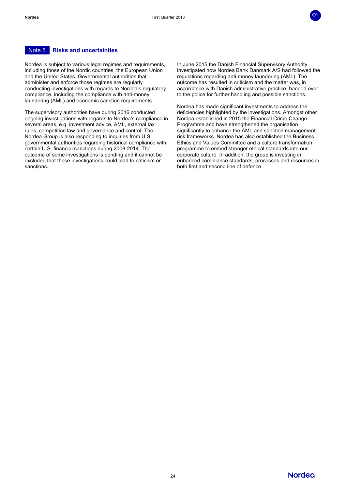# Note 5 **Risks and uncertainties**

Nordea is subject to various legal regimes and requirements, including those of the Nordic countries, the European Union and the United States. Governmental authorities that administer and enforce those regimes are regularly conducting investigations with regards to Nordea's regulatory compliance, including the compliance with anti-money laundering (AML) and economic sanction requirements.

The supervisory authorities have during 2016 conducted ongoing investigations with regards to Nordea's compliance in several areas, e.g. investment advice, AML, external tax rules, competition law and governance and control. The Nordea Group is also responding to inquiries from U.S. governmental authorities regarding historical compliance with certain U.S. financial sanctions during 2008-2014. The outcome of some investigations is pending and it cannot be excluded that these investigations could lead to criticism or sanctions.

In June 2015 the Danish Financial Supervisory Authority investigated how Nordea Bank Danmark A/S had followed the regulations regarding anti-money laundering (AML). The outcome has resulted in criticism and the matter was, in accordance with Danish administrative practice, handed over to the police for further handling and possible sanctions.

**Q1**

Nordea has made significant investments to address the deficiencies highlighted by the investigations. Amongst other Nordea established in 2015 the Financial Crime Change Programme and have strengthened the organisation significantly to enhance the AML and sanction management risk frameworks. Nordea has also established the Business Ethics and Values Committee and a culture transformation programme to embed stronger ethical standards into our corporate culture. In addition, the group is investing in enhanced compliance standards, processes and resources in both first and second line of defence.

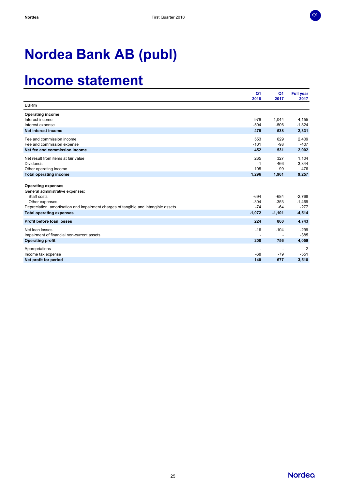

# **Nordea Bank AB (publ)**

# **Income statement**

|                                                                                     | Q <sub>1</sub><br>2018 | Q <sub>1</sub><br>2017 | <b>Full year</b><br>2017 |
|-------------------------------------------------------------------------------------|------------------------|------------------------|--------------------------|
| <b>EURm</b>                                                                         |                        |                        |                          |
| <b>Operating income</b>                                                             |                        |                        |                          |
| Interest income                                                                     | 979                    | 1,044                  | 4,155                    |
| Interest expense                                                                    | $-504$                 | $-506$                 | $-1,824$                 |
| Net interest income                                                                 | 475                    | 538                    | 2,331                    |
| Fee and commission income                                                           | 553                    | 629                    | 2,409                    |
| Fee and commission expense                                                          | $-101$                 | $-98$                  | $-407$                   |
| Net fee and commission income                                                       | 452                    | 531                    | 2,002                    |
| Net result from items at fair value                                                 | 265                    | 327                    | 1,104                    |
| <b>Dividends</b>                                                                    | $-1$                   | 466                    | 3,344                    |
| Other operating income                                                              | 105                    | 99                     | 476                      |
| <b>Total operating income</b>                                                       | 1,296                  | 1,961                  | 9,257                    |
|                                                                                     |                        |                        |                          |
| <b>Operating expenses</b>                                                           |                        |                        |                          |
| General administrative expenses:<br>Staff costs                                     | $-694$                 | $-684$                 | $-2,768$                 |
| Other expenses                                                                      | $-304$                 | $-353$                 | $-1,469$                 |
| Depreciation, amortisation and impairment charges of tangible and intangible assets | $-74$                  | $-64$                  | $-277$                   |
| <b>Total operating expenses</b>                                                     | $-1,072$               | $-1,101$               | $-4,514$                 |
| <b>Profit before loan losses</b>                                                    | 224                    | 860                    | 4,743                    |
|                                                                                     |                        |                        |                          |
| Net loan losses                                                                     | $-16$                  | $-104$                 | $-299$                   |
| Impairment of financial non-current assets                                          |                        |                        | $-385$                   |
| <b>Operating profit</b>                                                             | 208                    | 756                    | 4,059                    |
| Appropriations                                                                      |                        |                        | $\overline{2}$           |
| Income tax expense                                                                  | $-68$                  | $-79$                  | $-551$                   |
| Net profit for period                                                               | 140                    | 677                    | 3,510                    |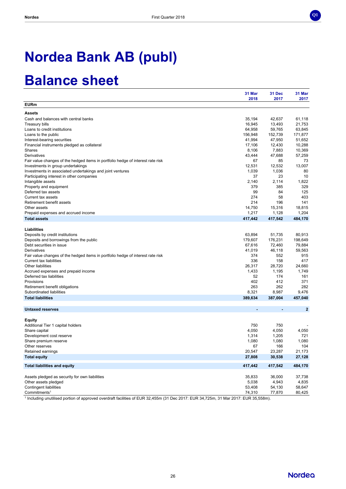

# **Nordea Bank AB (publ)**

# **Balance sheet**

| 2018<br>2017<br><b>EURm</b><br><b>Assets</b>                                                  | 2017<br>61,118<br>21,753<br>63,845 |
|-----------------------------------------------------------------------------------------------|------------------------------------|
|                                                                                               |                                    |
|                                                                                               |                                    |
|                                                                                               |                                    |
| 42,637<br>Cash and balances with central banks<br>35,194                                      |                                    |
| 16,945<br>13,493<br>Treasury bills                                                            |                                    |
| 64,958<br>59,765<br>Loans to credit institutions                                              |                                    |
| 156,948<br>152,739<br>Loans to the public                                                     | 171,877                            |
| 47,950<br>41,994<br>Interest-bearing securities                                               | 51,652                             |
| 17,106<br>12,430<br>Financial instruments pledged as collateral                               | 10,288                             |
| 7,883<br>Shares<br>8,106                                                                      | 10,369                             |
| Derivatives<br>43,444<br>47,688                                                               | 57,259                             |
| 67<br>85<br>Fair value changes of the hedged items in portfolio hedge of interest rate risk   | 73                                 |
| 12,531<br>12,532<br>Investments in group undertakings                                         | 13,007                             |
| 1,039<br>1,036<br>Investments in associated undertakings and joint ventures                   | 80                                 |
| 37<br>23<br>Participating interest in other companies                                         | 10                                 |
| 2,140<br>2,114<br>Intangible assets                                                           | 1,822                              |
| 379<br>385<br>Property and equipment                                                          | 329                                |
| 99<br>84<br>Deferred tax assets                                                               | 125                                |
| 274<br>58<br>Current tax assets                                                               | 403                                |
| Retirement benefit assets<br>214<br>196                                                       | 141                                |
| 14,750<br>15,316<br>Other assets                                                              | 18,815                             |
| 1,217<br>1,128<br>Prepaid expenses and accrued income                                         | 1,204                              |
| 417,442<br>417,542<br><b>Total assets</b>                                                     | 484,170                            |
|                                                                                               |                                    |
| Liabilities                                                                                   |                                    |
| 63,894<br>51,735<br>Deposits by credit institutions                                           | 80.913                             |
| Deposits and borrowings from the public<br>179,607<br>176,231                                 | 198,649                            |
| Debt securities in issue<br>67,616<br>72,460                                                  | 79,884                             |
| 41,019<br>46,118<br>Derivatives                                                               | 59,563                             |
| 374<br>552<br>Fair value changes of the hedged items in portfolio hedge of interest rate risk | 915                                |
| <b>Current tax liabilities</b><br>336<br>158                                                  | 417                                |
| <b>Other liabilities</b><br>26,317<br>28,720                                                  | 24,660                             |
| 1,433<br>1,195<br>Accrued expenses and prepaid income                                         | 1,749                              |
| Deferred tax liabilities<br>52<br>174                                                         | 161                                |
| Provisions<br>402<br>412                                                                      | 371                                |
| 263<br>262<br>Retirement benefit obligations                                                  | 282                                |
| Subordinated liabilities<br>8,321<br>8,987                                                    | 9,476                              |
| <b>Total liabilities</b><br>389,634<br>387,004                                                | 457,040                            |
|                                                                                               |                                    |
| <b>Untaxed reserves</b>                                                                       | $\mathbf{2}$                       |
|                                                                                               |                                    |
| <b>Equity</b>                                                                                 |                                    |
| Additional Tier 1 capital holders<br>750<br>750                                               |                                    |
| 4,050<br>4,050<br>Share capital                                                               | 4,050                              |
| 1,314<br>1,205<br>Development cost reserve                                                    | 721                                |
| 1,080<br>1,080<br>Share premium reserve                                                       | 1,080                              |
| 67<br>Other reserves<br>166                                                                   | 104                                |
| 20,547<br>23,287<br>Retained earnings                                                         | 21,173                             |
| 27,808<br>30,538<br><b>Total equity</b>                                                       | 27,128                             |
| <b>Total liabilities and equity</b>                                                           |                                    |
| 417,442<br>417,542                                                                            | 484,170                            |
| 36,000<br>Assets pledged as security for own liabilities<br>35,833                            | 37,738                             |
| 4,943<br>Other assets pledged<br>5,038                                                        | 4,835                              |
| <b>Contingent liabilities</b><br>53,408<br>54,130                                             | 58,647                             |
| Commitments <sup>1</sup><br>74,310<br>77,870                                                  | 80,425                             |

1 Including unutilised portion of approved overdraft facilities of EUR 32,455m (31 Dec 2017: EUR 34,725m, 31 Mar 2017: EUR 35,558m).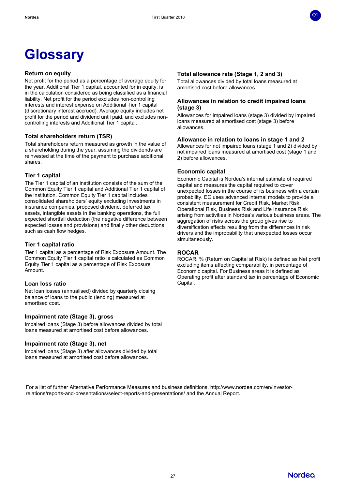# **Glossary**

### **Return on equity**

Net profit for the period as a percentage of average equity for the year. Additional Tier 1 capital, accounted for in equity, is in the calculation considered as being classified as a financial liability. Net profit for the period excludes non-controlling interests and interest expense on Additional Tier 1 capital (discretionary interest accrued). Average equity includes net profit for the period and dividend until paid, and excludes noncontrolling interests and Additional Tier 1 capital.

# **Total shareholders return (TSR)**

Total shareholders return measured as growth in the value of a shareholding during the year, assuming the dividends are reinvested at the time of the payment to purchase additional shares.

## **Tier 1 capital**

The Tier 1 capital of an institution consists of the sum of the Common Equity Tier 1 capital and Additional Tier 1 capital of the institution. Common Equity Tier 1 capital includes consolidated shareholders' equity excluding investments in insurance companies, proposed dividend, deferred tax assets, intangible assets in the banking operations, the full expected shortfall deduction (the negative difference between expected losses and provisions) and finally other deductions such as cash flow hedges.

## **Tier 1 capital ratio**

Tier 1 capital as a percentage of Risk Exposure Amount. The Common Equity Tier 1 capital ratio is calculated as Common Equity Tier 1 capital as a percentage of Risk Exposure Amount.

# **Loan loss ratio**

Net loan losses (annualised) divided by quarterly closing balance of loans to the public (lending) measured at amortised cost.

## **Impairment rate (Stage 3), gross**

Impaired loans (Stage 3) before allowances divided by total loans measured at amortised cost before allowances.

## **Impairment rate (Stage 3), net**

Impaired loans (Stage 3) after allowances divided by total loans measured at amortised cost before allowances.

## **Total allowance rate (Stage 1, 2 and 3)**

Total allowances divided by total loans measured at amortised cost before allowances.

## **Allowances in relation to credit impaired loans (stage 3)**

Allowances for impaired loans (stage 3) divided by impaired loans measured at amortised cost (stage 3) before allowances.

**Q1**

### **Allowance in relation to loans in stage 1 and 2**

Allowances for not impaired loans (stage 1 and 2) divided by not impaired loans measured at amortised cost (stage 1 and 2) before allowances.

### **Economic capital**

Economic Capital is Nordea's internal estimate of required capital and measures the capital required to cover unexpected losses in the course of its business with a certain probability. EC uses advanced internal models to provide a consistent measurement for Credit Risk, Market Risk, Operational Risk, Business Risk and Life Insurance Risk arising from activities in Nordea's various business areas. The aggregation of risks across the group gives rise to diversification effects resulting from the differences in risk drivers and the improbability that unexpected losses occur simultaneously.

## **ROCAR**

ROCAR, % (Return on Capital at Risk) is defined as Net profit excluding items affecting comparability, in percentage of Economic capital. For Business areas it is defined as Operating profit after standard tax in percentage of Economic Capital.

For a list of further Alternative Performance Measures and business definitions, [http://www.nordea.com/en/investor](http://www.nordea.com/en/investor-)relations/reports-and-presentations/select-reports-and-presentations/ and the Annual Report.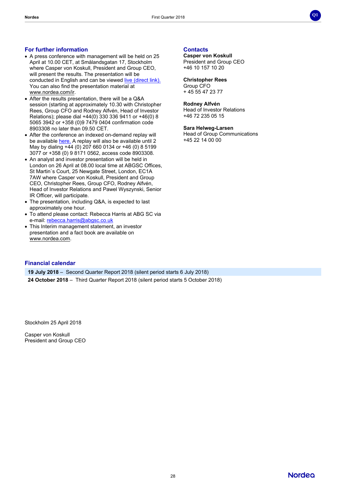

## **For further information**

- A press conference with management will be held on 25 April at 10.00 CET, at Smålandsgatan 17, Stockholm where Casper von Koskull, President and Group CEO, will present the results. The presentation will be conducted in English and can be viewed live [\(direct](https://edge.media-server.com/m6/p/awhrnt8x) link). You can also find the presentation material at [www.nordea.com/ir](http://www.nordea.com/ir).
- After the results presentation, there will be a Q&A session (starting at approximately 10.30 with Christopher Rees, Group CFO and Rodney Alfvén, Head of Investor Relations); please dial +44(0) 330 336 9411 or +46(0) 8 5065 3942 or +358 (0)9 7479 0404 confirmation code 8903308 no later than 09.50 CET.
- After the conference an indexed on-demand replay will be available [here.](https://edge.media-server.com/m6/p/awhrnt8x) A replay will also be available until 2 May by dialing +44 (0) 207 660 0134 or +46 (0) 8 5199 3077 or +358 (0) 9 8171 0562, access code 8903308.
- An analyst and investor presentation will be held in London on 26 April at 08.00 local time at ABGSC Offices, St Martin`s Court, 25 Newgate Street, London, EC1A 7AW where Casper von Koskull, President and Group CEO, Christopher Rees, Group CFO, Rodney Alfvén, Head of Investor Relations and Pawel Wyszynski, Senior IR Officer, will participate.
- The presentation, including Q&A, is expected to last approximately one hour.
- To attend please contact: Rebecca Harris at ABG SC via e-mail: [rebecca.harris@abgsc.co.uk](mailto:rebecca.harris@abgsc.co.uk)
- This Interim management statement, an investor presentation and a fact book are available on [www.nordea.com.](http://www.nordea.com/)

# **Contacts**

**Casper von Koskull** President and Group CEO +46 10 157 10 20

**Christopher Rees** Group CFO

+ 45 55 47 23 77

#### **Rodney Alfvén**

Head of Investor Relations +46 72 235 05 15

#### **Sara Helweg-Larsen**

Head of Group Communications +45 22 14 00 00

# **Financial calendar**

**19 July 2018** – Second Quarter Report 2018 (silent period starts 6 July 2018)

**24 October 2018** – Third Quarter Report 2018 (silent period starts 5 October 2018)

Stockholm 25 April 2018

Casper von Koskull President and Group CEO